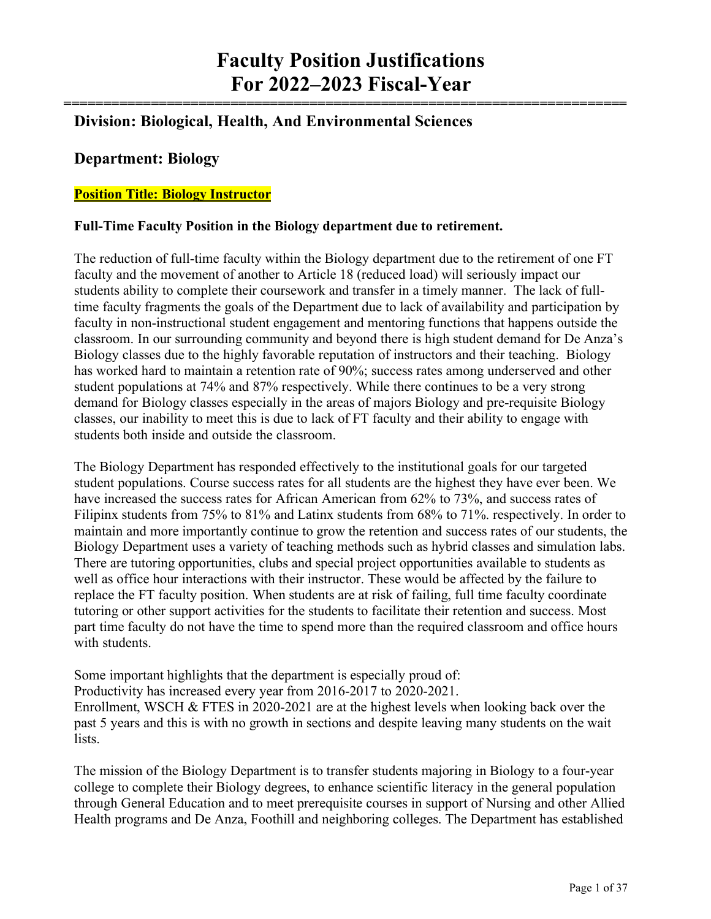**=======================================================================**

# **Division: Biological, Health, And Environmental Sciences**

#### **Department: Biology**

#### **Position Title: Biology Instructor**

#### **Full-Time Faculty Position in the Biology department due to retirement.**

The reduction of full-time faculty within the Biology department due to the retirement of one FT faculty and the movement of another to Article 18 (reduced load) will seriously impact our students ability to complete their coursework and transfer in a timely manner. The lack of fulltime faculty fragments the goals of the Department due to lack of availability and participation by faculty in non-instructional student engagement and mentoring functions that happens outside the classroom. In our surrounding community and beyond there is high student demand for De Anza's Biology classes due to the highly favorable reputation of instructors and their teaching. Biology has worked hard to maintain a retention rate of 90%; success rates among underserved and other student populations at 74% and 87% respectively. While there continues to be a very strong demand for Biology classes especially in the areas of majors Biology and pre-requisite Biology classes, our inability to meet this is due to lack of FT faculty and their ability to engage with students both inside and outside the classroom.

The Biology Department has responded effectively to the institutional goals for our targeted student populations. Course success rates for all students are the highest they have ever been. We have increased the success rates for African American from 62% to 73%, and success rates of Filipinx students from 75% to 81% and Latinx students from 68% to 71%. respectively. In order to maintain and more importantly continue to grow the retention and success rates of our students, the Biology Department uses a variety of teaching methods such as hybrid classes and simulation labs. There are tutoring opportunities, clubs and special project opportunities available to students as well as office hour interactions with their instructor. These would be affected by the failure to replace the FT faculty position. When students are at risk of failing, full time faculty coordinate tutoring or other support activities for the students to facilitate their retention and success. Most part time faculty do not have the time to spend more than the required classroom and office hours with students.

Some important highlights that the department is especially proud of: Productivity has increased every year from 2016-2017 to 2020-2021. Enrollment, WSCH & FTES in 2020-2021 are at the highest levels when looking back over the past 5 years and this is with no growth in sections and despite leaving many students on the wait lists.

The mission of the Biology Department is to transfer students majoring in Biology to a four-year college to complete their Biology degrees, to enhance scientific literacy in the general population through General Education and to meet prerequisite courses in support of Nursing and other Allied Health programs and De Anza, Foothill and neighboring colleges. The Department has established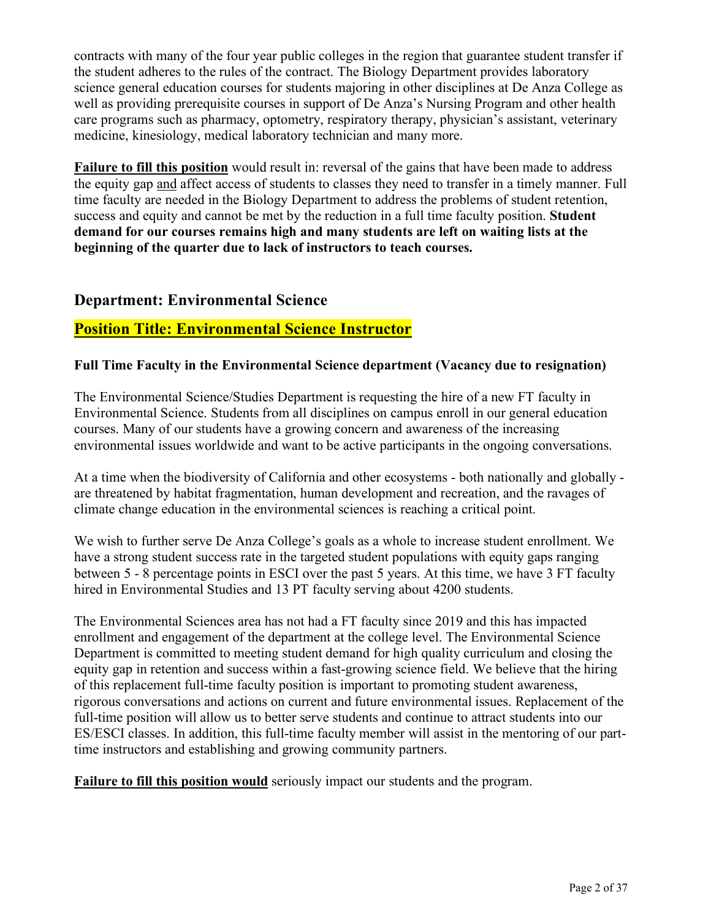contracts with many of the four year public colleges in the region that guarantee student transfer if the student adheres to the rules of the contract. The Biology Department provides laboratory science general education courses for students majoring in other disciplines at De Anza College as well as providing prerequisite courses in support of De Anza's Nursing Program and other health care programs such as pharmacy, optometry, respiratory therapy, physician's assistant, veterinary medicine, kinesiology, medical laboratory technician and many more.

**Failure to fill this position** would result in: reversal of the gains that have been made to address the equity gap and affect access of students to classes they need to transfer in a timely manner. Full time faculty are needed in the Biology Department to address the problems of student retention, success and equity and cannot be met by the reduction in a full time faculty position. **Student demand for our courses remains high and many students are left on waiting lists at the beginning of the quarter due to lack of instructors to teach courses.**

#### **Department: Environmental Science**

#### **Position Title: Environmental Science Instructor**

#### **Full Time Faculty in the Environmental Science department (Vacancy due to resignation)**

The Environmental Science/Studies Department is requesting the hire of a new FT faculty in Environmental Science. Students from all disciplines on campus enroll in our general education courses. Many of our students have a growing concern and awareness of the increasing environmental issues worldwide and want to be active participants in the ongoing conversations.

At a time when the biodiversity of California and other ecosystems - both nationally and globally are threatened by habitat fragmentation, human development and recreation, and the ravages of climate change education in the environmental sciences is reaching a critical point.

We wish to further serve De Anza College's goals as a whole to increase student enrollment. We have a strong student success rate in the targeted student populations with equity gaps ranging between 5 - 8 percentage points in ESCI over the past 5 years. At this time, we have 3 FT faculty hired in Environmental Studies and 13 PT faculty serving about 4200 students.

The Environmental Sciences area has not had a FT faculty since 2019 and this has impacted enrollment and engagement of the department at the college level. The Environmental Science Department is committed to meeting student demand for high quality curriculum and closing the equity gap in retention and success within a fast-growing science field. We believe that the hiring of this replacement full-time faculty position is important to promoting student awareness, rigorous conversations and actions on current and future environmental issues. Replacement of the full-time position will allow us to better serve students and continue to attract students into our ES/ESCI classes. In addition, this full-time faculty member will assist in the mentoring of our parttime instructors and establishing and growing community partners.

**Failure to fill this position would** seriously impact our students and the program.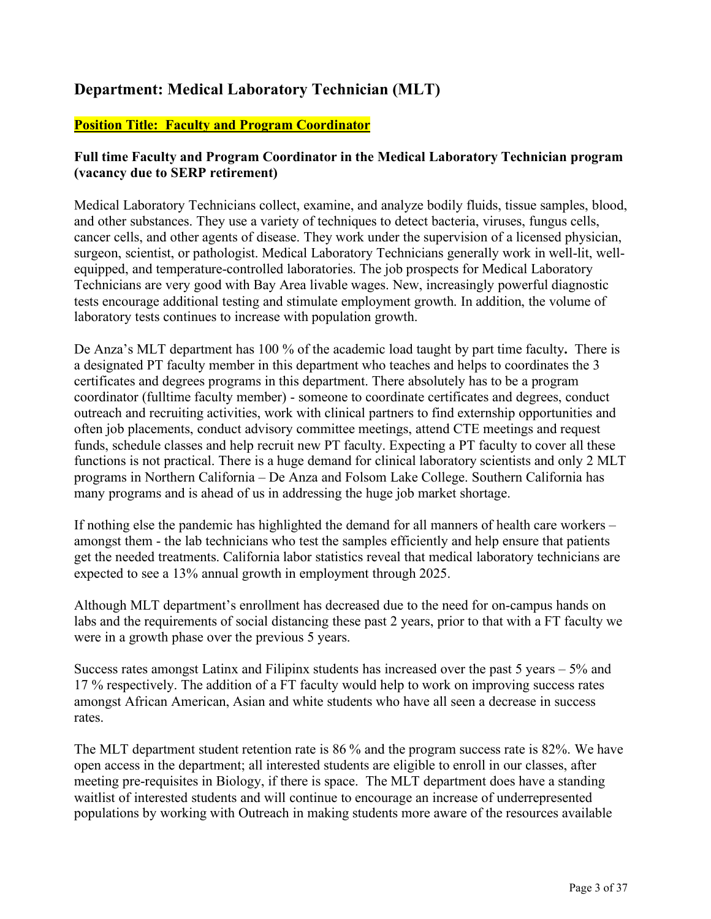# **Department: Medical Laboratory Technician (MLT)**

#### **Position Title: Faculty and Program Coordinator**

#### **Full time Faculty and Program Coordinator in the Medical Laboratory Technician program (vacancy due to SERP retirement)**

Medical Laboratory Technicians collect, examine, and analyze bodily fluids, tissue samples, blood, and other substances. They use a variety of techniques to detect bacteria, viruses, fungus cells, cancer cells, and other agents of disease. They work under the supervision of a licensed physician, surgeon, scientist, or pathologist. Medical Laboratory Technicians generally work in well-lit, wellequipped, and temperature-controlled laboratories. The job prospects for Medical Laboratory Technicians are very good with Bay Area livable wages. New, increasingly powerful diagnostic tests encourage additional testing and stimulate employment growth. In addition, the volume of laboratory tests continues to increase with population growth.

De Anza's MLT department has 100 % of the academic load taught by part time faculty**.** There is a designated PT faculty member in this department who teaches and helps to coordinates the 3 certificates and degrees programs in this department. There absolutely has to be a program coordinator (fulltime faculty member) - someone to coordinate certificates and degrees, conduct outreach and recruiting activities, work with clinical partners to find externship opportunities and often job placements, conduct advisory committee meetings, attend CTE meetings and request funds, schedule classes and help recruit new PT faculty. Expecting a PT faculty to cover all these functions is not practical. There is a huge demand for clinical laboratory scientists and only 2 MLT programs in Northern California – De Anza and Folsom Lake College. Southern California has many programs and is ahead of us in addressing the huge job market shortage.

If nothing else the pandemic has highlighted the demand for all manners of health care workers – amongst them - the lab technicians who test the samples efficiently and help ensure that patients get the needed treatments. California labor statistics reveal that medical laboratory technicians are expected to see a 13% annual growth in employment through 2025.

Although MLT department's enrollment has decreased due to the need for on-campus hands on labs and the requirements of social distancing these past 2 years, prior to that with a FT faculty we were in a growth phase over the previous 5 years.

Success rates amongst Latinx and Filipinx students has increased over the past 5 years – 5% and 17 % respectively. The addition of a FT faculty would help to work on improving success rates amongst African American, Asian and white students who have all seen a decrease in success rates.

The MLT department student retention rate is 86 % and the program success rate is 82%. We have open access in the department; all interested students are eligible to enroll in our classes, after meeting pre-requisites in Biology, if there is space. The MLT department does have a standing waitlist of interested students and will continue to encourage an increase of underrepresented populations by working with Outreach in making students more aware of the resources available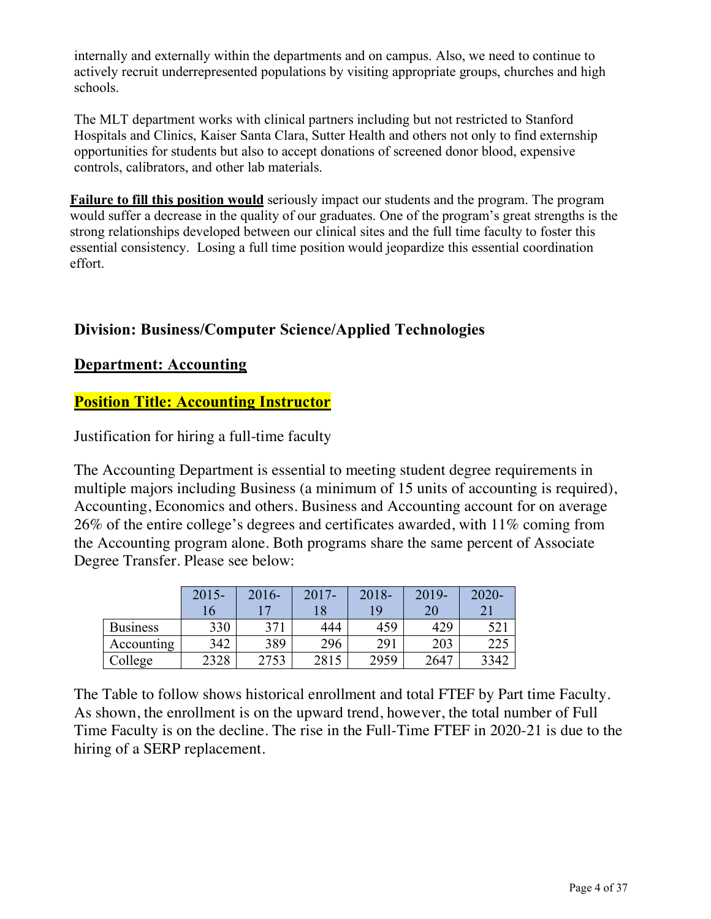internally and externally within the departments and on campus. Also, we need to continue to actively recruit underrepresented populations by visiting appropriate groups, churches and high schools.

The MLT department works with clinical partners including but not restricted to Stanford Hospitals and Clinics, Kaiser Santa Clara, Sutter Health and others not only to find externship opportunities for students but also to accept donations of screened donor blood, expensive controls, calibrators, and other lab materials.

**Failure to fill this position would** seriously impact our students and the program. The program would suffer a decrease in the quality of our graduates. One of the program's great strengths is the strong relationships developed between our clinical sites and the full time faculty to foster this essential consistency. Losing a full time position would jeopardize this essential coordination effort.

## **Division: Business/Computer Science/Applied Technologies**

#### **Department: Accounting**

## **Position Title: Accounting Instructor**

Justification for hiring a full-time faculty

The Accounting Department is essential to meeting student degree requirements in multiple majors including Business (a minimum of 15 units of accounting is required), Accounting, Economics and others. Business and Accounting account for on average 26% of the entire college's degrees and certificates awarded, with 11% coming from the Accounting program alone. Both programs share the same percent of Associate Degree Transfer. Please see below:

|                 | $2015 -$ | $2016 -$ | $2017 -$ | 2018- | 2019- | $2020 -$ |
|-----------------|----------|----------|----------|-------|-------|----------|
|                 | 16       |          |          | 19    | 20    |          |
| <b>Business</b> | 330      | 371      | 444      | 459   | 429   |          |
| Accounting      | 342      | 389      | 296      | 291   | 203   | 223      |
| College         | 2328     | 2753     | 2815     | 2959  | 2647  | 3342     |

The Table to follow shows historical enrollment and total FTEF by Part time Faculty. As shown, the enrollment is on the upward trend, however, the total number of Full Time Faculty is on the decline. The rise in the Full-Time FTEF in 2020-21 is due to the hiring of a SERP replacement.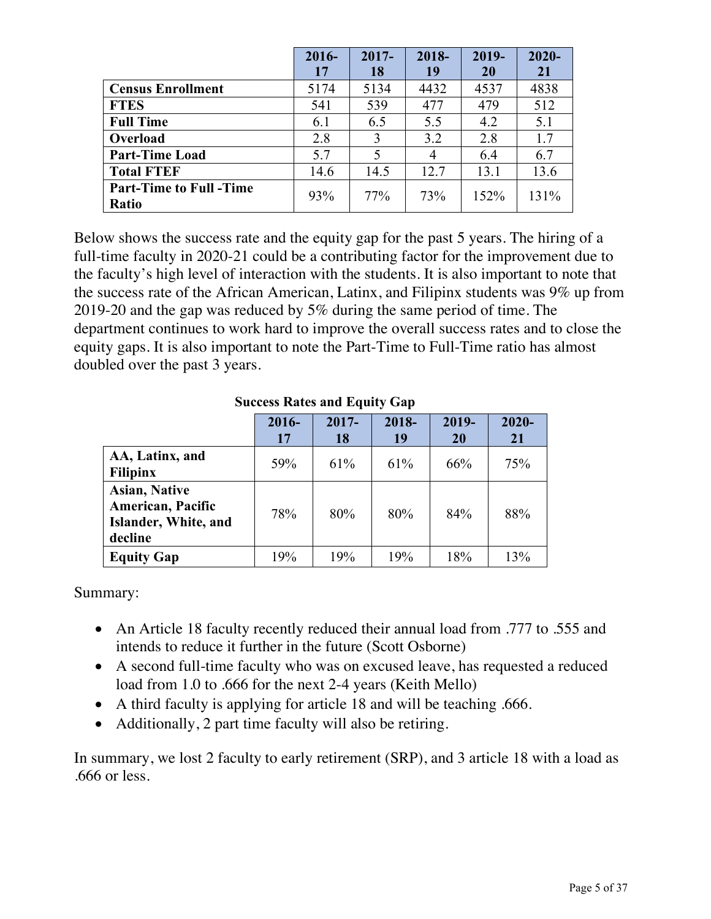|                                | $2016 -$ | $2017 -$ | 2018- | 2019- | $2020 -$ |
|--------------------------------|----------|----------|-------|-------|----------|
|                                | 17       | 18       | 19    | 20    | 21       |
| <b>Census Enrollment</b>       | 5174     | 5134     | 4432  | 4537  | 4838     |
| <b>FTES</b>                    | 541      | 539      | 477   | 479   | 512      |
| <b>Full Time</b>               | 6.1      | 6.5      | 5.5   | 4.2   | 5.1      |
| Overload                       | 2.8      | 3        | 3.2   | 2.8   | 1.7      |
| <b>Part-Time Load</b>          | 5.7      |          | 4     | 6.4   | 6.7      |
| <b>Total FTEF</b>              | 14.6     | 14.5     | 12.7  | 13.1  | 13.6     |
| <b>Part-Time to Full -Time</b> | 93%      | 77%      | 73%   | 152%  | 131%     |
| Ratio                          |          |          |       |       |          |

Below shows the success rate and the equity gap for the past 5 years. The hiring of a full-time faculty in 2020-21 could be a contributing factor for the improvement due to the faculty's high level of interaction with the students. It is also important to note that the success rate of the African American, Latinx, and Filipinx students was 9% up from 2019-20 and the gap was reduced by 5% during the same period of time. The department continues to work hard to improve the overall success rates and to close the equity gaps. It is also important to note the Part-Time to Full-Time ratio has almost doubled over the past 3 years.

#### **Success Rates and Equity Gap**

|                                                                                     | 2016-<br>17 | $2017 -$<br>18 | 2018-<br>19 | 2019-<br>20 | $2020 -$<br>21 |
|-------------------------------------------------------------------------------------|-------------|----------------|-------------|-------------|----------------|
| AA, Latinx, and<br><b>Filipinx</b>                                                  | 59%         | 61%            | 61%         | 66%         | 75%            |
| <b>Asian, Native</b><br><b>American, Pacific</b><br>Islander, White, and<br>decline | 78%         | 80%            | 80%         | 84%         | 88%            |
| <b>Equity Gap</b>                                                                   | 19%         | 19%            | 19%         | 18%         | 13%            |

Summary:

- An Article 18 faculty recently reduced their annual load from .777 to .555 and intends to reduce it further in the future (Scott Osborne)
- A second full-time faculty who was on excused leave, has requested a reduced load from 1.0 to .666 for the next 2-4 years (Keith Mello)
- A third faculty is applying for article 18 and will be teaching .666.
- Additionally, 2 part time faculty will also be retiring.

In summary, we lost 2 faculty to early retirement (SRP), and 3 article 18 with a load as .666 or less.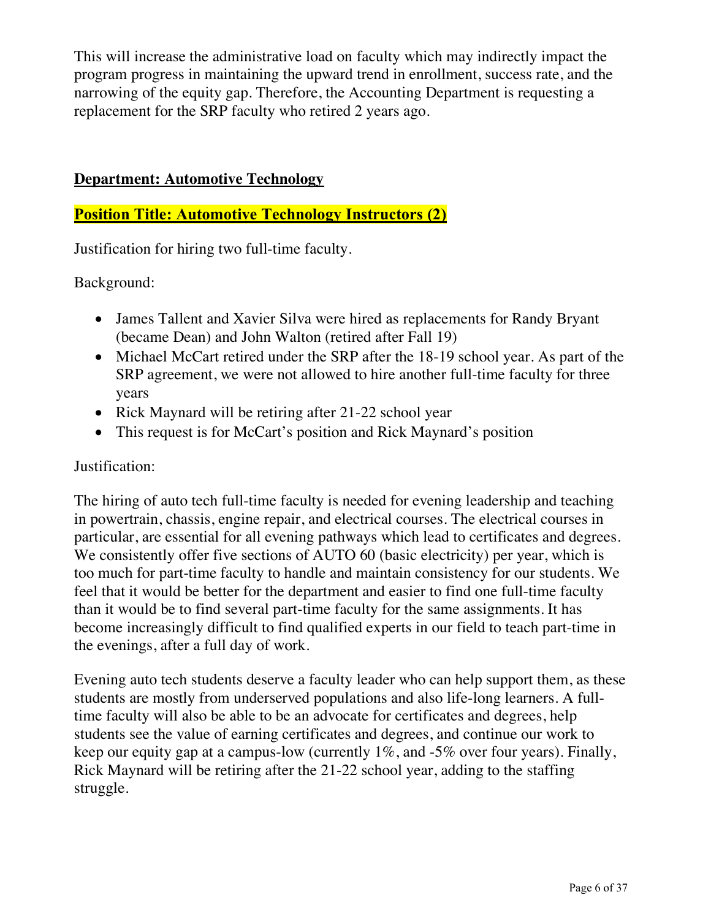This will increase the administrative load on faculty which may indirectly impact the program progress in maintaining the upward trend in enrollment, success rate, and the narrowing of the equity gap. Therefore, the Accounting Department is requesting a replacement for the SRP faculty who retired 2 years ago.

#### **Department: Automotive Technology**

## **Position Title: Automotive Technology Instructors (2)**

Justification for hiring two full-time faculty.

Background:

- James Tallent and Xavier Silva were hired as replacements for Randy Bryant (became Dean) and John Walton (retired after Fall 19)
- Michael McCart retired under the SRP after the 18-19 school year. As part of the SRP agreement, we were not allowed to hire another full-time faculty for three years
- Rick Maynard will be retiring after 21-22 school year
- This request is for McCart's position and Rick Maynard's position

#### Justification:

The hiring of auto tech full-time faculty is needed for evening leadership and teaching in powertrain, chassis, engine repair, and electrical courses. The electrical courses in particular, are essential for all evening pathways which lead to certificates and degrees. We consistently offer five sections of AUTO 60 (basic electricity) per year, which is too much for part-time faculty to handle and maintain consistency for our students. We feel that it would be better for the department and easier to find one full-time faculty than it would be to find several part-time faculty for the same assignments. It has become increasingly difficult to find qualified experts in our field to teach part-time in the evenings, after a full day of work.

Evening auto tech students deserve a faculty leader who can help support them, as these students are mostly from underserved populations and also life-long learners. A fulltime faculty will also be able to be an advocate for certificates and degrees, help students see the value of earning certificates and degrees, and continue our work to keep our equity gap at a campus-low (currently 1%, and -5% over four years). Finally, Rick Maynard will be retiring after the 21-22 school year, adding to the staffing struggle.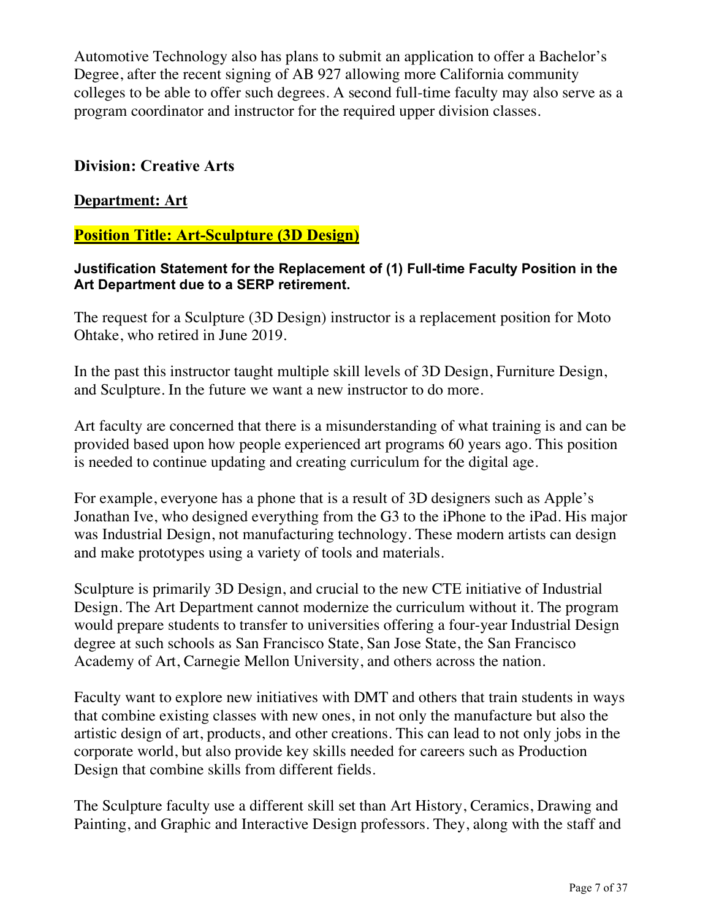Automotive Technology also has plans to submit an application to offer a Bachelor's Degree, after the recent signing of AB 927 allowing more California community colleges to be able to offer such degrees. A second full-time faculty may also serve as a program coordinator and instructor for the required upper division classes.

#### **Division: Creative Arts**

#### **Department: Art**

#### **Position Title: Art-Sculpture (3D Design)**

**Justification Statement for the Replacement of (1) Full-time Faculty Position in the Art Department due to a SERP retirement.**

The request for a Sculpture (3D Design) instructor is a replacement position for Moto Ohtake, who retired in June 2019.

In the past this instructor taught multiple skill levels of 3D Design, Furniture Design, and Sculpture. In the future we want a new instructor to do more.

Art faculty are concerned that there is a misunderstanding of what training is and can be provided based upon how people experienced art programs 60 years ago. This position is needed to continue updating and creating curriculum for the digital age.

For example, everyone has a phone that is a result of 3D designers such as Apple's Jonathan Ive, who designed everything from the G3 to the iPhone to the iPad. His major was Industrial Design, not manufacturing technology. These modern artists can design and make prototypes using a variety of tools and materials.

Sculpture is primarily 3D Design, and crucial to the new CTE initiative of Industrial Design. The Art Department cannot modernize the curriculum without it. The program would prepare students to transfer to universities offering a four-year Industrial Design degree at such schools as San Francisco State, San Jose State, the San Francisco Academy of Art, Carnegie Mellon University, and others across the nation.

Faculty want to explore new initiatives with DMT and others that train students in ways that combine existing classes with new ones, in not only the manufacture but also the artistic design of art, products, and other creations. This can lead to not only jobs in the corporate world, but also provide key skills needed for careers such as Production Design that combine skills from different fields.

The Sculpture faculty use a different skill set than Art History, Ceramics, Drawing and Painting, and Graphic and Interactive Design professors. They, along with the staff and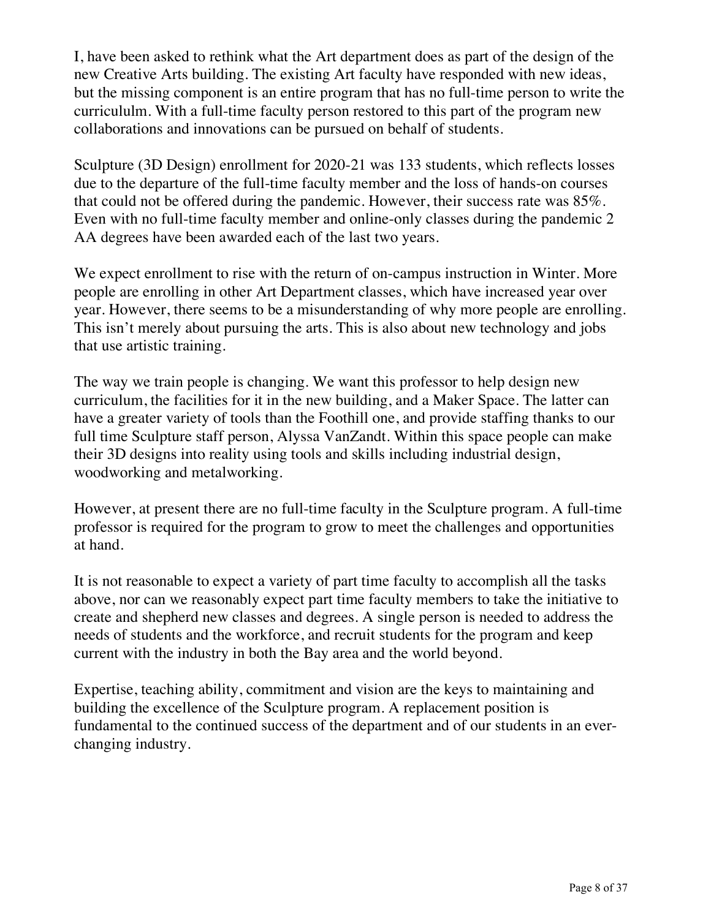I, have been asked to rethink what the Art department does as part of the design of the new Creative Arts building. The existing Art faculty have responded with new ideas, but the missing component is an entire program that has no full-time person to write the curricululm. With a full-time faculty person restored to this part of the program new collaborations and innovations can be pursued on behalf of students.

Sculpture (3D Design) enrollment for 2020-21 was 133 students, which reflects losses due to the departure of the full-time faculty member and the loss of hands-on courses that could not be offered during the pandemic. However, their success rate was 85%. Even with no full-time faculty member and online-only classes during the pandemic 2 AA degrees have been awarded each of the last two years.

We expect enrollment to rise with the return of on-campus instruction in Winter. More people are enrolling in other Art Department classes, which have increased year over year. However, there seems to be a misunderstanding of why more people are enrolling. This isn't merely about pursuing the arts. This is also about new technology and jobs that use artistic training.

The way we train people is changing. We want this professor to help design new curriculum, the facilities for it in the new building, and a Maker Space. The latter can have a greater variety of tools than the Foothill one, and provide staffing thanks to our full time Sculpture staff person, Alyssa VanZandt. Within this space people can make their 3D designs into reality using tools and skills including industrial design, woodworking and metalworking.

However, at present there are no full-time faculty in the Sculpture program. A full-time professor is required for the program to grow to meet the challenges and opportunities at hand.

It is not reasonable to expect a variety of part time faculty to accomplish all the tasks above, nor can we reasonably expect part time faculty members to take the initiative to create and shepherd new classes and degrees. A single person is needed to address the needs of students and the workforce, and recruit students for the program and keep current with the industry in both the Bay area and the world beyond.

Expertise, teaching ability, commitment and vision are the keys to maintaining and building the excellence of the Sculpture program. A replacement position is fundamental to the continued success of the department and of our students in an everchanging industry.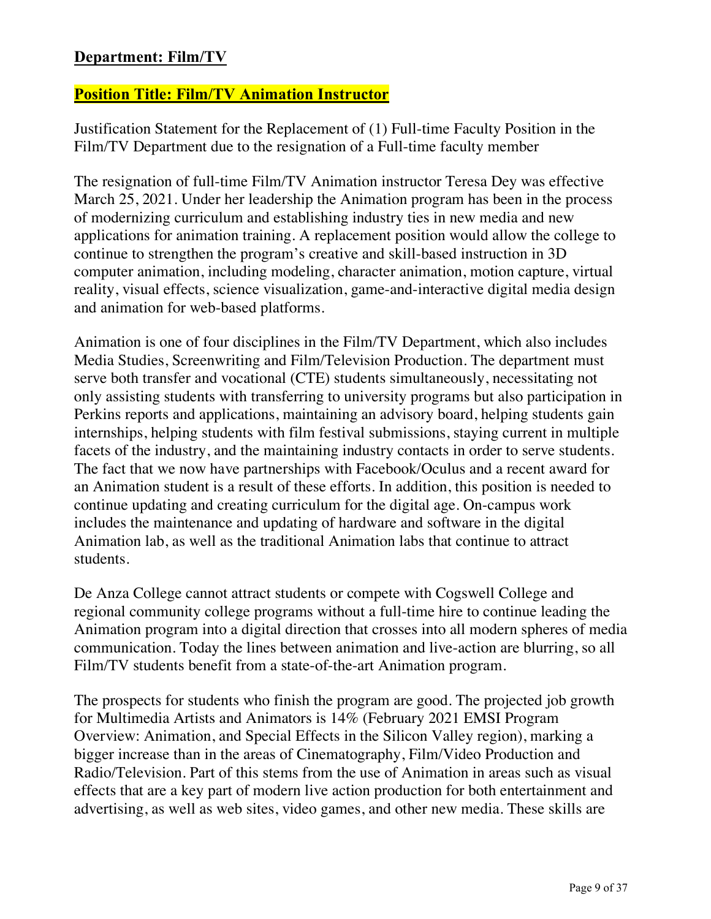## **Department: Film/TV**

#### **Position Title: Film/TV Animation Instructor**

Justification Statement for the Replacement of (1) Full-time Faculty Position in the Film/TV Department due to the resignation of a Full-time faculty member

The resignation of full-time Film/TV Animation instructor Teresa Dey was effective March 25, 2021. Under her leadership the Animation program has been in the process of modernizing curriculum and establishing industry ties in new media and new applications for animation training. A replacement position would allow the college to continue to strengthen the program's creative and skill-based instruction in 3D computer animation, including modeling, character animation, motion capture, virtual reality, visual effects, science visualization, game-and-interactive digital media design and animation for web-based platforms.

Animation is one of four disciplines in the Film/TV Department, which also includes Media Studies, Screenwriting and Film/Television Production. The department must serve both transfer and vocational (CTE) students simultaneously, necessitating not only assisting students with transferring to university programs but also participation in Perkins reports and applications, maintaining an advisory board, helping students gain internships, helping students with film festival submissions, staying current in multiple facets of the industry, and the maintaining industry contacts in order to serve students. The fact that we now have partnerships with Facebook/Oculus and a recent award for an Animation student is a result of these efforts. In addition, this position is needed to continue updating and creating curriculum for the digital age. On-campus work includes the maintenance and updating of hardware and software in the digital Animation lab, as well as the traditional Animation labs that continue to attract students.

De Anza College cannot attract students or compete with Cogswell College and regional community college programs without a full-time hire to continue leading the Animation program into a digital direction that crosses into all modern spheres of media communication. Today the lines between animation and live-action are blurring, so all Film/TV students benefit from a state-of-the-art Animation program.

The prospects for students who finish the program are good. The projected job growth for Multimedia Artists and Animators is 14% (February 2021 EMSI Program Overview: Animation, and Special Effects in the Silicon Valley region), marking a bigger increase than in the areas of Cinematography, Film/Video Production and Radio/Television. Part of this stems from the use of Animation in areas such as visual effects that are a key part of modern live action production for both entertainment and advertising, as well as web sites, video games, and other new media. These skills are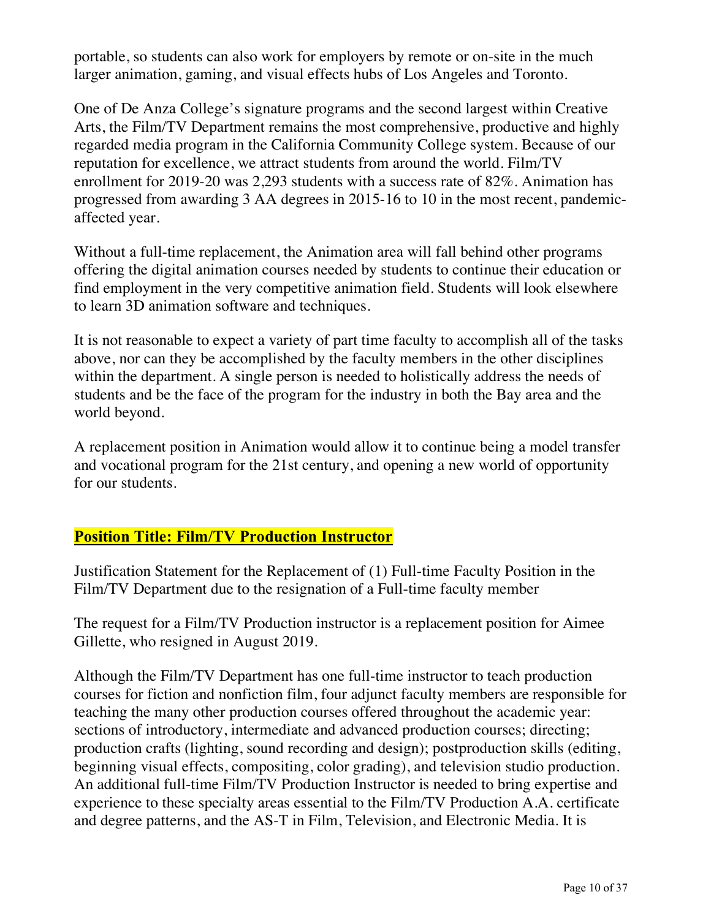portable, so students can also work for employers by remote or on-site in the much larger animation, gaming, and visual effects hubs of Los Angeles and Toronto.

One of De Anza College's signature programs and the second largest within Creative Arts, the Film/TV Department remains the most comprehensive, productive and highly regarded media program in the California Community College system. Because of our reputation for excellence, we attract students from around the world. Film/TV enrollment for 2019-20 was 2,293 students with a success rate of 82%. Animation has progressed from awarding 3 AA degrees in 2015-16 to 10 in the most recent, pandemicaffected year.

Without a full-time replacement, the Animation area will fall behind other programs offering the digital animation courses needed by students to continue their education or find employment in the very competitive animation field. Students will look elsewhere to learn 3D animation software and techniques.

It is not reasonable to expect a variety of part time faculty to accomplish all of the tasks above, nor can they be accomplished by the faculty members in the other disciplines within the department. A single person is needed to holistically address the needs of students and be the face of the program for the industry in both the Bay area and the world beyond.

A replacement position in Animation would allow it to continue being a model transfer and vocational program for the 21st century, and opening a new world of opportunity for our students.

## **Position Title: Film/TV Production Instructor**

Justification Statement for the Replacement of (1) Full-time Faculty Position in the Film/TV Department due to the resignation of a Full-time faculty member

The request for a Film/TV Production instructor is a replacement position for Aimee Gillette, who resigned in August 2019.

Although the Film/TV Department has one full-time instructor to teach production courses for fiction and nonfiction film, four adjunct faculty members are responsible for teaching the many other production courses offered throughout the academic year: sections of introductory, intermediate and advanced production courses; directing; production crafts (lighting, sound recording and design); postproduction skills (editing, beginning visual effects, compositing, color grading), and television studio production. An additional full-time Film/TV Production Instructor is needed to bring expertise and experience to these specialty areas essential to the Film/TV Production A.A. certificate and degree patterns, and the AS-T in Film, Television, and Electronic Media. It is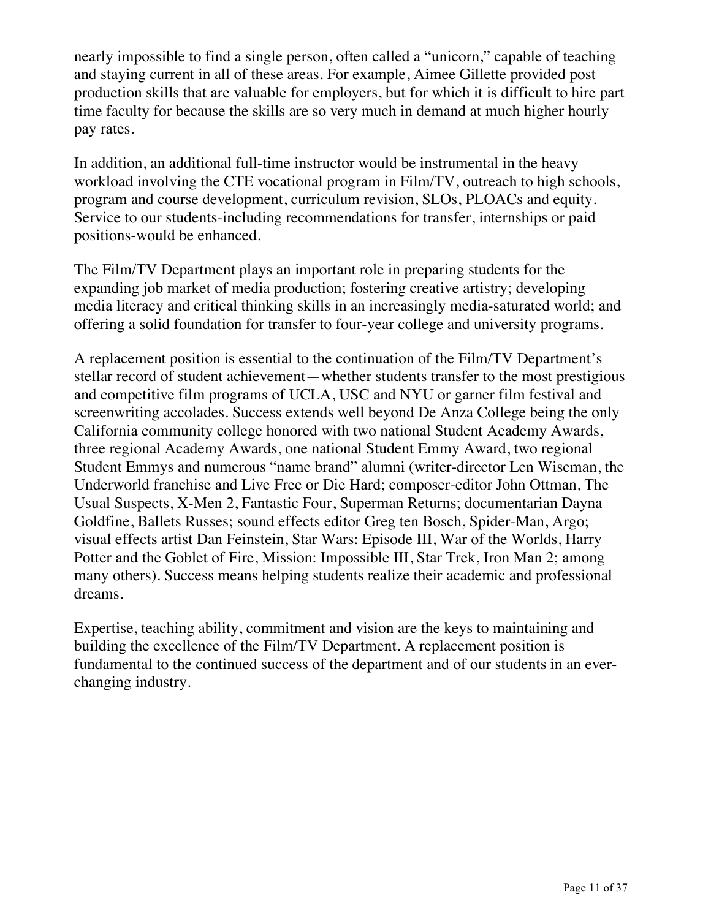nearly impossible to find a single person, often called a "unicorn," capable of teaching and staying current in all of these areas. For example, Aimee Gillette provided post production skills that are valuable for employers, but for which it is difficult to hire part time faculty for because the skills are so very much in demand at much higher hourly pay rates.

In addition, an additional full-time instructor would be instrumental in the heavy workload involving the CTE vocational program in Film/TV, outreach to high schools, program and course development, curriculum revision, SLOs, PLOACs and equity. Service to our students-including recommendations for transfer, internships or paid positions-would be enhanced.

The Film/TV Department plays an important role in preparing students for the expanding job market of media production; fostering creative artistry; developing media literacy and critical thinking skills in an increasingly media-saturated world; and offering a solid foundation for transfer to four-year college and university programs.

A replacement position is essential to the continuation of the Film/TV Department's stellar record of student achievement—whether students transfer to the most prestigious and competitive film programs of UCLA, USC and NYU or garner film festival and screenwriting accolades. Success extends well beyond De Anza College being the only California community college honored with two national Student Academy Awards, three regional Academy Awards, one national Student Emmy Award, two regional Student Emmys and numerous "name brand" alumni (writer-director Len Wiseman, the Underworld franchise and Live Free or Die Hard; composer-editor John Ottman, The Usual Suspects, X-Men 2, Fantastic Four, Superman Returns; documentarian Dayna Goldfine, Ballets Russes; sound effects editor Greg ten Bosch, Spider-Man, Argo; visual effects artist Dan Feinstein, Star Wars: Episode III, War of the Worlds, Harry Potter and the Goblet of Fire, Mission: Impossible III, Star Trek, Iron Man 2; among many others). Success means helping students realize their academic and professional dreams.

Expertise, teaching ability, commitment and vision are the keys to maintaining and building the excellence of the Film/TV Department. A replacement position is fundamental to the continued success of the department and of our students in an everchanging industry.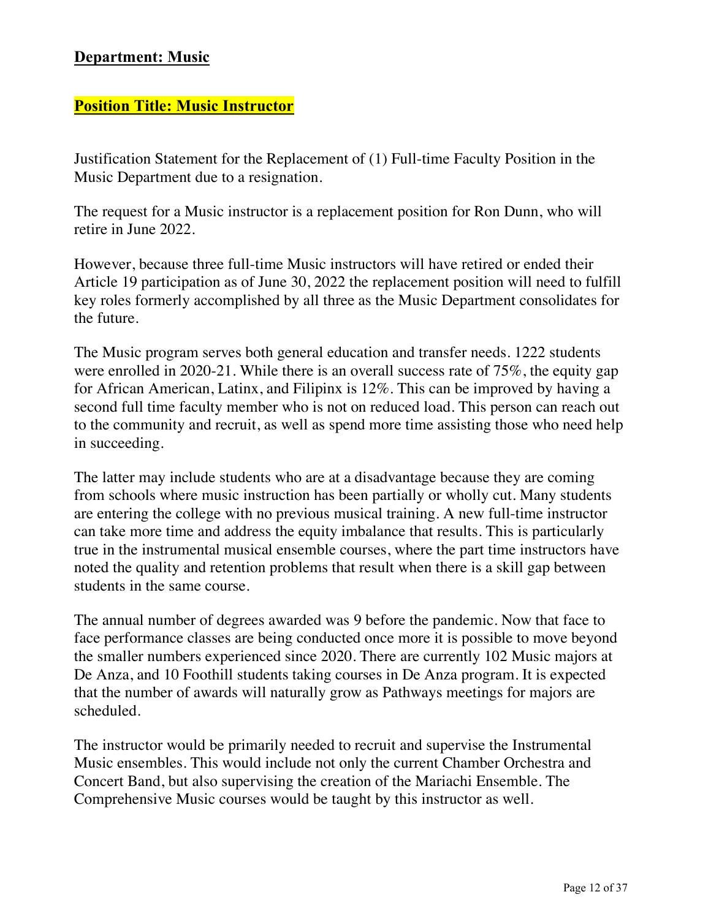## **Department: Music**

#### **Position Title: Music Instructor**

Justification Statement for the Replacement of (1) Full-time Faculty Position in the Music Department due to a resignation.

The request for a Music instructor is a replacement position for Ron Dunn, who will retire in June 2022.

However, because three full-time Music instructors will have retired or ended their Article 19 participation as of June 30, 2022 the replacement position will need to fulfill key roles formerly accomplished by all three as the Music Department consolidates for the future.

The Music program serves both general education and transfer needs. 1222 students were enrolled in 2020-21. While there is an overall success rate of 75%, the equity gap for African American, Latinx, and Filipinx is 12%. This can be improved by having a second full time faculty member who is not on reduced load. This person can reach out to the community and recruit, as well as spend more time assisting those who need help in succeeding.

The latter may include students who are at a disadvantage because they are coming from schools where music instruction has been partially or wholly cut. Many students are entering the college with no previous musical training. A new full-time instructor can take more time and address the equity imbalance that results. This is particularly true in the instrumental musical ensemble courses, where the part time instructors have noted the quality and retention problems that result when there is a skill gap between students in the same course.

The annual number of degrees awarded was 9 before the pandemic. Now that face to face performance classes are being conducted once more it is possible to move beyond the smaller numbers experienced since 2020. There are currently 102 Music majors at De Anza, and 10 Foothill students taking courses in De Anza program. It is expected that the number of awards will naturally grow as Pathways meetings for majors are scheduled.

The instructor would be primarily needed to recruit and supervise the Instrumental Music ensembles. This would include not only the current Chamber Orchestra and Concert Band, but also supervising the creation of the Mariachi Ensemble. The Comprehensive Music courses would be taught by this instructor as well.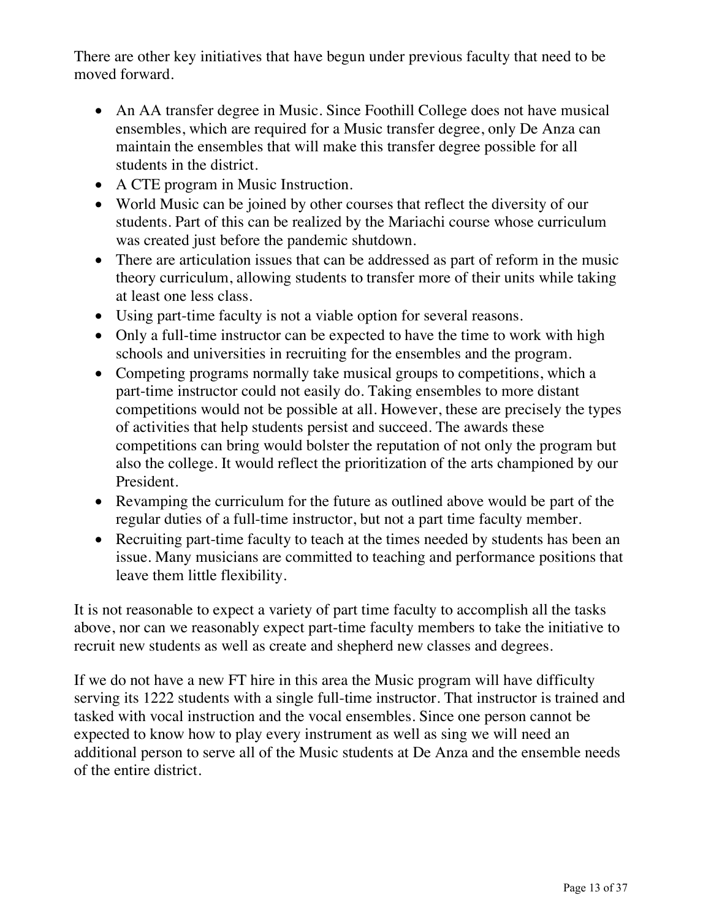There are other key initiatives that have begun under previous faculty that need to be moved forward.

- An AA transfer degree in Music. Since Foothill College does not have musical ensembles, which are required for a Music transfer degree, only De Anza can maintain the ensembles that will make this transfer degree possible for all students in the district.
- A CTE program in Music Instruction.
- World Music can be joined by other courses that reflect the diversity of our students. Part of this can be realized by the Mariachi course whose curriculum was created just before the pandemic shutdown.
- There are articulation issues that can be addressed as part of reform in the music theory curriculum, allowing students to transfer more of their units while taking at least one less class.
- Using part-time faculty is not a viable option for several reasons.
- Only a full-time instructor can be expected to have the time to work with high schools and universities in recruiting for the ensembles and the program.
- Competing programs normally take musical groups to competitions, which a part-time instructor could not easily do. Taking ensembles to more distant competitions would not be possible at all. However, these are precisely the types of activities that help students persist and succeed. The awards these competitions can bring would bolster the reputation of not only the program but also the college. It would reflect the prioritization of the arts championed by our President.
- Revamping the curriculum for the future as outlined above would be part of the regular duties of a full-time instructor, but not a part time faculty member.
- Recruiting part-time faculty to teach at the times needed by students has been an issue. Many musicians are committed to teaching and performance positions that leave them little flexibility.

It is not reasonable to expect a variety of part time faculty to accomplish all the tasks above, nor can we reasonably expect part-time faculty members to take the initiative to recruit new students as well as create and shepherd new classes and degrees.

If we do not have a new FT hire in this area the Music program will have difficulty serving its 1222 students with a single full-time instructor. That instructor is trained and tasked with vocal instruction and the vocal ensembles. Since one person cannot be expected to know how to play every instrument as well as sing we will need an additional person to serve all of the Music students at De Anza and the ensemble needs of the entire district.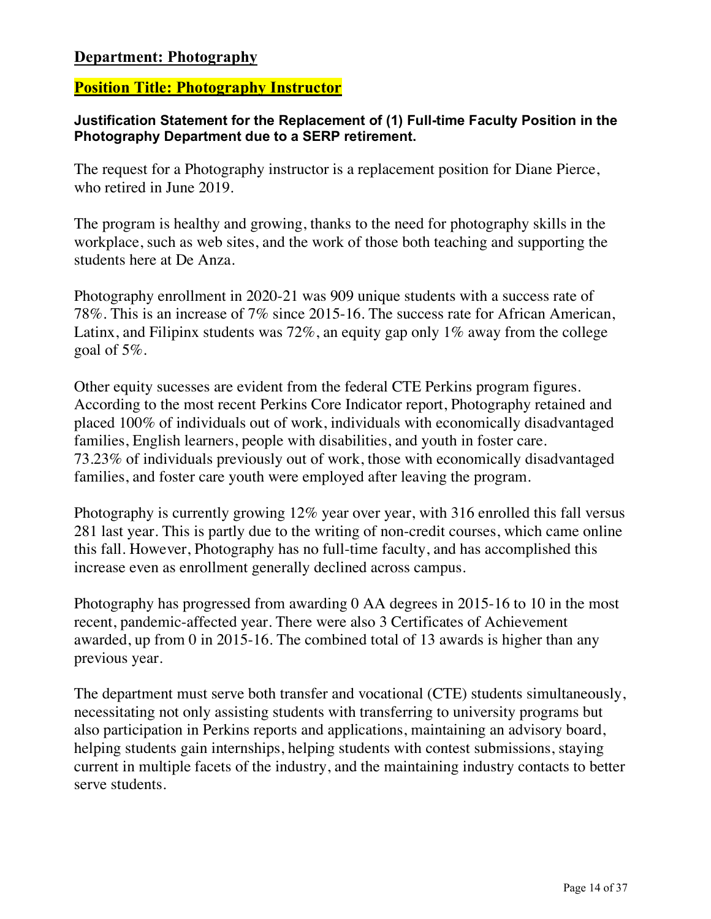## **Department: Photography**

#### **Position Title: Photography Instructor**

#### **Justification Statement for the Replacement of (1) Full-time Faculty Position in the Photography Department due to a SERP retirement.**

The request for a Photography instructor is a replacement position for Diane Pierce, who retired in June 2019.

The program is healthy and growing, thanks to the need for photography skills in the workplace, such as web sites, and the work of those both teaching and supporting the students here at De Anza.

Photography enrollment in 2020-21 was 909 unique students with a success rate of 78%. This is an increase of 7% since 2015-16. The success rate for African American, Latinx, and Filipinx students was  $72\%$ , an equity gap only  $1\%$  away from the college goal of 5%.

Other equity sucesses are evident from the federal CTE Perkins program figures. According to the most recent Perkins Core Indicator report, Photography retained and placed 100% of individuals out of work, individuals with economically disadvantaged families, English learners, people with disabilities, and youth in foster care. 73.23% of individuals previously out of work, those with economically disadvantaged families, and foster care youth were employed after leaving the program.

Photography is currently growing 12% year over year, with 316 enrolled this fall versus 281 last year. This is partly due to the writing of non-credit courses, which came online this fall. However, Photography has no full-time faculty, and has accomplished this increase even as enrollment generally declined across campus.

Photography has progressed from awarding 0 AA degrees in 2015-16 to 10 in the most recent, pandemic-affected year. There were also 3 Certificates of Achievement awarded, up from 0 in 2015-16. The combined total of 13 awards is higher than any previous year.

The department must serve both transfer and vocational (CTE) students simultaneously, necessitating not only assisting students with transferring to university programs but also participation in Perkins reports and applications, maintaining an advisory board, helping students gain internships, helping students with contest submissions, staying current in multiple facets of the industry, and the maintaining industry contacts to better serve students.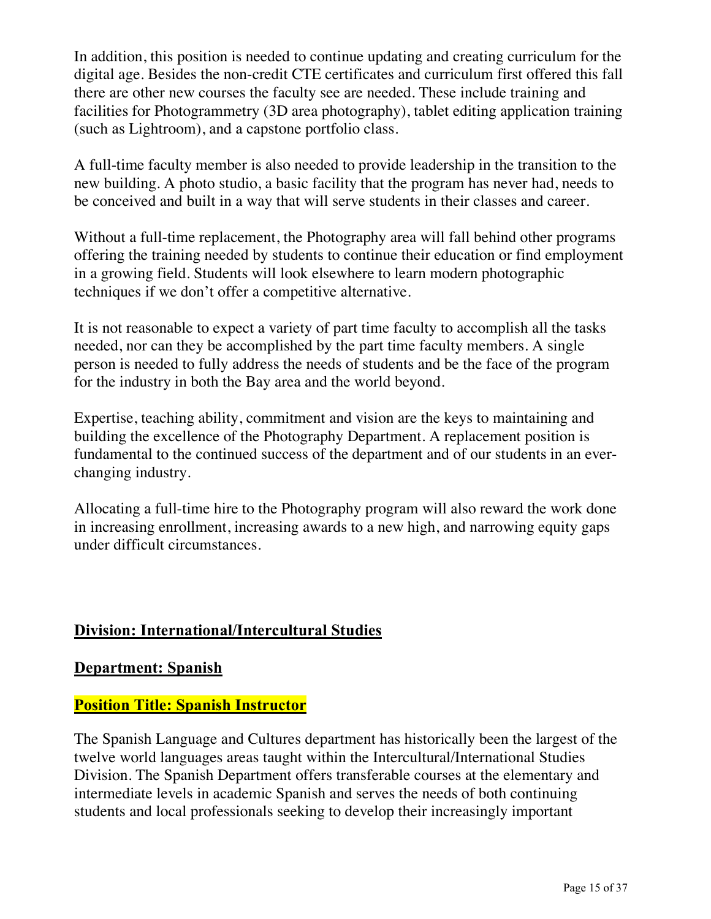In addition, this position is needed to continue updating and creating curriculum for the digital age. Besides the non-credit CTE certificates and curriculum first offered this fall there are other new courses the faculty see are needed. These include training and facilities for Photogrammetry (3D area photography), tablet editing application training (such as Lightroom), and a capstone portfolio class.

A full-time faculty member is also needed to provide leadership in the transition to the new building. A photo studio, a basic facility that the program has never had, needs to be conceived and built in a way that will serve students in their classes and career.

Without a full-time replacement, the Photography area will fall behind other programs offering the training needed by students to continue their education or find employment in a growing field. Students will look elsewhere to learn modern photographic techniques if we don't offer a competitive alternative.

It is not reasonable to expect a variety of part time faculty to accomplish all the tasks needed, nor can they be accomplished by the part time faculty members. A single person is needed to fully address the needs of students and be the face of the program for the industry in both the Bay area and the world beyond.

Expertise, teaching ability, commitment and vision are the keys to maintaining and building the excellence of the Photography Department. A replacement position is fundamental to the continued success of the department and of our students in an everchanging industry.

Allocating a full-time hire to the Photography program will also reward the work done in increasing enrollment, increasing awards to a new high, and narrowing equity gaps under difficult circumstances.

# **Division: International/Intercultural Studies**

**Department: Spanish**

## **Position Title: Spanish Instructor**

The Spanish Language and Cultures department has historically been the largest of the twelve world languages areas taught within the Intercultural/International Studies Division. The Spanish Department offers transferable courses at the elementary and intermediate levels in academic Spanish and serves the needs of both continuing students and local professionals seeking to develop their increasingly important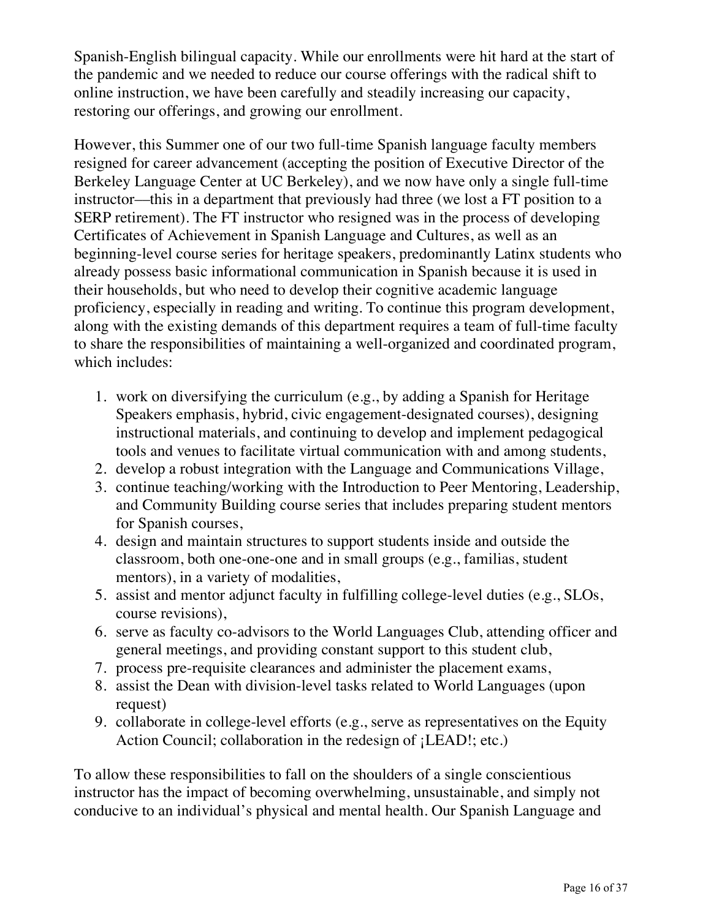Spanish-English bilingual capacity. While our enrollments were hit hard at the start of the pandemic and we needed to reduce our course offerings with the radical shift to online instruction, we have been carefully and steadily increasing our capacity, restoring our offerings, and growing our enrollment.

However, this Summer one of our two full-time Spanish language faculty members resigned for career advancement (accepting the position of Executive Director of the Berkeley Language Center at UC Berkeley), and we now have only a single full-time instructor––this in a department that previously had three (we lost a FT position to a SERP retirement). The FT instructor who resigned was in the process of developing Certificates of Achievement in Spanish Language and Cultures, as well as an beginning-level course series for heritage speakers, predominantly Latinx students who already possess basic informational communication in Spanish because it is used in their households, but who need to develop their cognitive academic language proficiency, especially in reading and writing. To continue this program development, along with the existing demands of this department requires a team of full-time faculty to share the responsibilities of maintaining a well-organized and coordinated program, which includes:

- 1. work on diversifying the curriculum (e.g., by adding a Spanish for Heritage Speakers emphasis, hybrid, civic engagement-designated courses), designing instructional materials, and continuing to develop and implement pedagogical tools and venues to facilitate virtual communication with and among students,
- 2. develop a robust integration with the Language and Communications Village,
- 3. continue teaching/working with the Introduction to Peer Mentoring, Leadership, and Community Building course series that includes preparing student mentors for Spanish courses,
- 4. design and maintain structures to support students inside and outside the classroom, both one-one-one and in small groups (e.g., familias, student mentors), in a variety of modalities,
- 5. assist and mentor adjunct faculty in fulfilling college-level duties (e.g., SLOs, course revisions),
- 6. serve as faculty co-advisors to the World Languages Club, attending officer and general meetings, and providing constant support to this student club,
- 7. process pre-requisite clearances and administer the placement exams,
- 8. assist the Dean with division-level tasks related to World Languages (upon request)
- 9. collaborate in college-level efforts (e.g., serve as representatives on the Equity Action Council; collaboration in the redesign of ¡LEAD!; etc.)

To allow these responsibilities to fall on the shoulders of a single conscientious instructor has the impact of becoming overwhelming, unsustainable, and simply not conducive to an individual's physical and mental health. Our Spanish Language and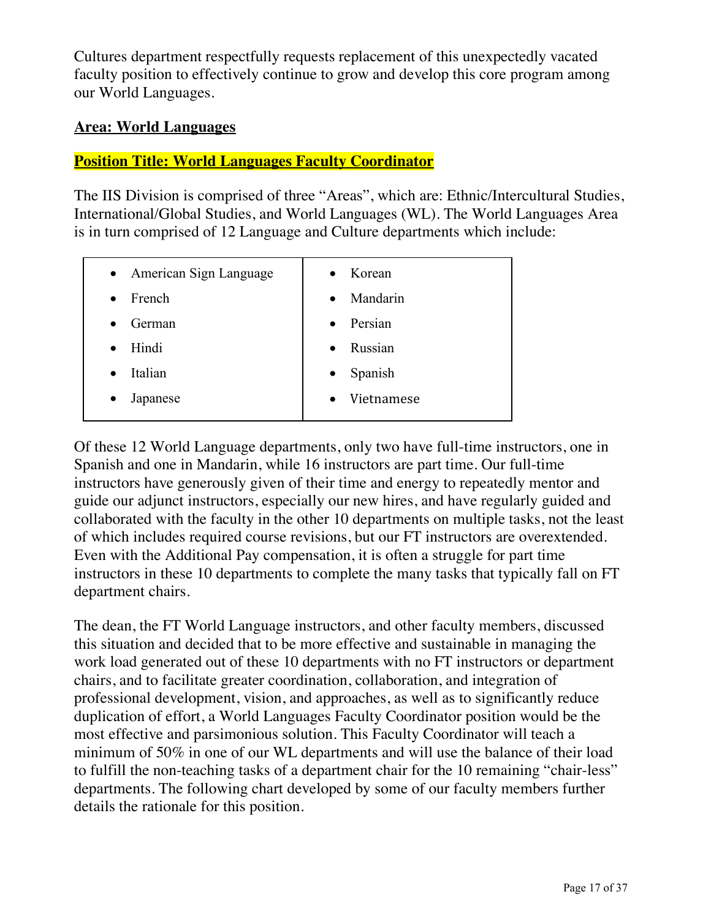Cultures department respectfully requests replacement of this unexpectedly vacated faculty position to effectively continue to grow and develop this core program among our World Languages.

#### **Area: World Languages**

#### **Position Title: World Languages Faculty Coordinator**

The IIS Division is comprised of three "Areas", which are: Ethnic/Intercultural Studies, International/Global Studies, and World Languages (WL). The World Languages Area is in turn comprised of 12 Language and Culture departments which include:

| • American Sign Language | Korean<br>$\bullet$   |
|--------------------------|-----------------------|
| French<br>$\bullet$      | Mandarin<br>$\bullet$ |
| German                   | Persian<br>$\bullet$  |
| Hindi<br>$\bullet$       | Russian<br>$\bullet$  |
| Italian<br>$\bullet$     | Spanish<br>$\bullet$  |
| Japanese<br>$\bullet$    | Vietnamese            |
|                          |                       |

Of these 12 World Language departments, only two have full-time instructors, one in Spanish and one in Mandarin, while 16 instructors are part time. Our full-time instructors have generously given of their time and energy to repeatedly mentor and guide our adjunct instructors, especially our new hires, and have regularly guided and collaborated with the faculty in the other 10 departments on multiple tasks, not the least of which includes required course revisions, but our FT instructors are overextended. Even with the Additional Pay compensation, it is often a struggle for part time instructors in these 10 departments to complete the many tasks that typically fall on FT department chairs.

The dean, the FT World Language instructors, and other faculty members, discussed this situation and decided that to be more effective and sustainable in managing the work load generated out of these 10 departments with no FT instructors or department chairs, and to facilitate greater coordination, collaboration, and integration of professional development, vision, and approaches, as well as to significantly reduce duplication of effort, a World Languages Faculty Coordinator position would be the most effective and parsimonious solution. This Faculty Coordinator will teach a minimum of 50% in one of our WL departments and will use the balance of their load to fulfill the non-teaching tasks of a department chair for the 10 remaining "chair-less" departments. The following chart developed by some of our faculty members further details the rationale for this position.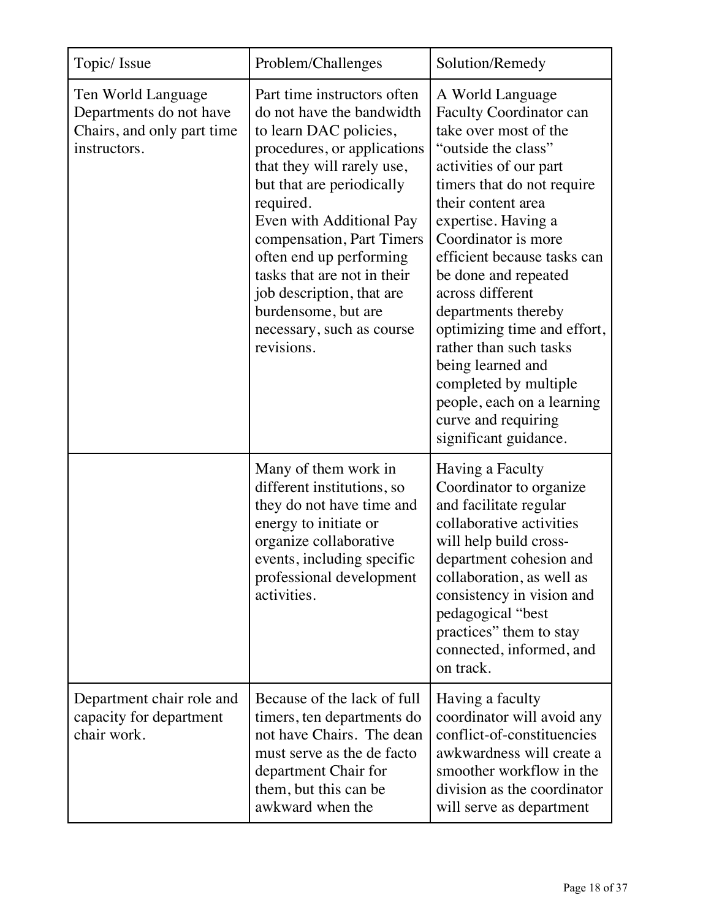| Topic/ Issue                                                                                | Problem/Challenges                                                                                                                                                                                                                                                                                                                                                                                          | Solution/Remedy                                                                                                                                                                                                                                                                                                                                                                                                                                                                                                       |
|---------------------------------------------------------------------------------------------|-------------------------------------------------------------------------------------------------------------------------------------------------------------------------------------------------------------------------------------------------------------------------------------------------------------------------------------------------------------------------------------------------------------|-----------------------------------------------------------------------------------------------------------------------------------------------------------------------------------------------------------------------------------------------------------------------------------------------------------------------------------------------------------------------------------------------------------------------------------------------------------------------------------------------------------------------|
| Ten World Language<br>Departments do not have<br>Chairs, and only part time<br>instructors. | Part time instructors often<br>do not have the bandwidth<br>to learn DAC policies,<br>procedures, or applications<br>that they will rarely use,<br>but that are periodically<br>required.<br>Even with Additional Pay<br>compensation, Part Timers<br>often end up performing<br>tasks that are not in their<br>job description, that are<br>burdensome, but are<br>necessary, such as course<br>revisions. | A World Language<br><b>Faculty Coordinator can</b><br>take over most of the<br>"outside the class"<br>activities of our part<br>timers that do not require<br>their content area<br>expertise. Having a<br>Coordinator is more<br>efficient because tasks can<br>be done and repeated<br>across different<br>departments thereby<br>optimizing time and effort,<br>rather than such tasks<br>being learned and<br>completed by multiple<br>people, each on a learning<br>curve and requiring<br>significant guidance. |
|                                                                                             | Many of them work in<br>different institutions, so<br>they do not have time and<br>energy to initiate or<br>organize collaborative<br>events, including specific<br>professional development<br>activities.                                                                                                                                                                                                 | Having a Faculty<br>Coordinator to organize<br>and facilitate regular<br>collaborative activities<br>will help build cross-<br>department cohesion and<br>collaboration, as well as<br>consistency in vision and<br>pedagogical "best<br>practices" them to stay<br>connected, informed, and<br>on track.                                                                                                                                                                                                             |
| Department chair role and<br>capacity for department<br>chair work.                         | Because of the lack of full<br>timers, ten departments do<br>not have Chairs. The dean<br>must serve as the de facto<br>department Chair for<br>them, but this can be<br>awkward when the                                                                                                                                                                                                                   | Having a faculty<br>coordinator will avoid any<br>conflict-of-constituencies<br>awkwardness will create a<br>smoother workflow in the<br>division as the coordinator<br>will serve as department                                                                                                                                                                                                                                                                                                                      |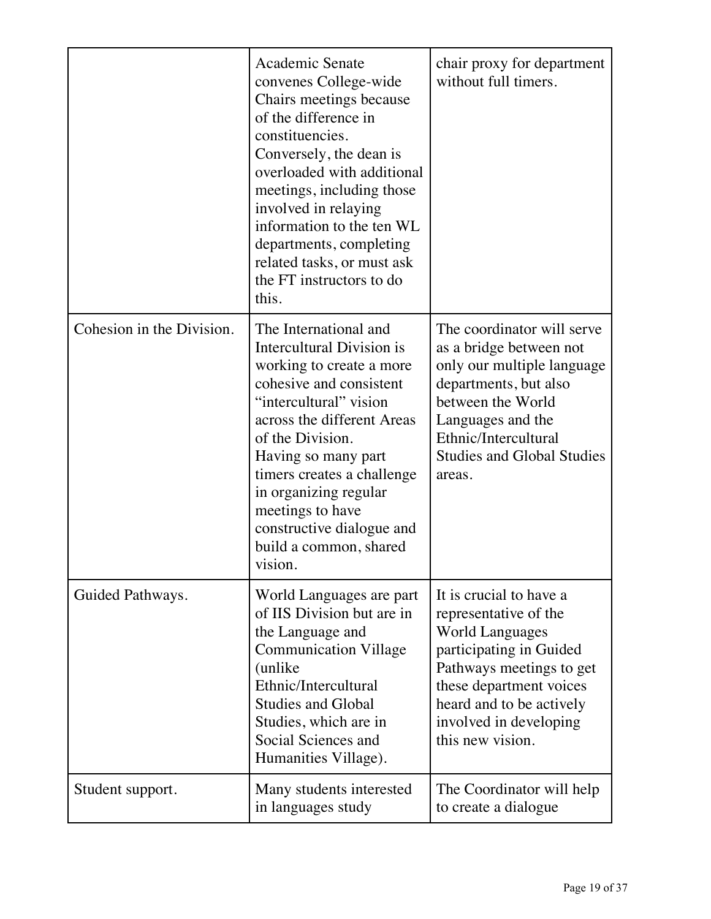|                           | Academic Senate<br>convenes College-wide<br>Chairs meetings because<br>of the difference in<br>constituencies.<br>Conversely, the dean is<br>overloaded with additional<br>meetings, including those<br>involved in relaying<br>information to the ten WL<br>departments, completing<br>related tasks, or must ask<br>the FT instructors to do<br>this.   | chair proxy for department<br>without full timers.                                                                                                                                                                                     |
|---------------------------|-----------------------------------------------------------------------------------------------------------------------------------------------------------------------------------------------------------------------------------------------------------------------------------------------------------------------------------------------------------|----------------------------------------------------------------------------------------------------------------------------------------------------------------------------------------------------------------------------------------|
| Cohesion in the Division. | The International and<br>Intercultural Division is<br>working to create a more<br>cohesive and consistent<br>"intercultural" vision<br>across the different Areas<br>of the Division.<br>Having so many part<br>timers creates a challenge<br>in organizing regular<br>meetings to have<br>constructive dialogue and<br>build a common, shared<br>vision. | The coordinator will serve<br>as a bridge between not<br>only our multiple language<br>departments, but also<br>between the World<br>Languages and the<br>Ethnic/Intercultural<br><b>Studies and Global Studies</b><br>areas.          |
| Guided Pathways.          | World Languages are part<br>of IIS Division but are in<br>the Language and<br><b>Communication Village</b><br>(unlike)<br>Ethnic/Intercultural<br><b>Studies and Global</b><br>Studies, which are in<br>Social Sciences and<br>Humanities Village).                                                                                                       | It is crucial to have a<br>representative of the<br><b>World Languages</b><br>participating in Guided<br>Pathways meetings to get<br>these department voices<br>heard and to be actively<br>involved in developing<br>this new vision. |
| Student support.          | Many students interested<br>in languages study                                                                                                                                                                                                                                                                                                            | The Coordinator will help<br>to create a dialogue                                                                                                                                                                                      |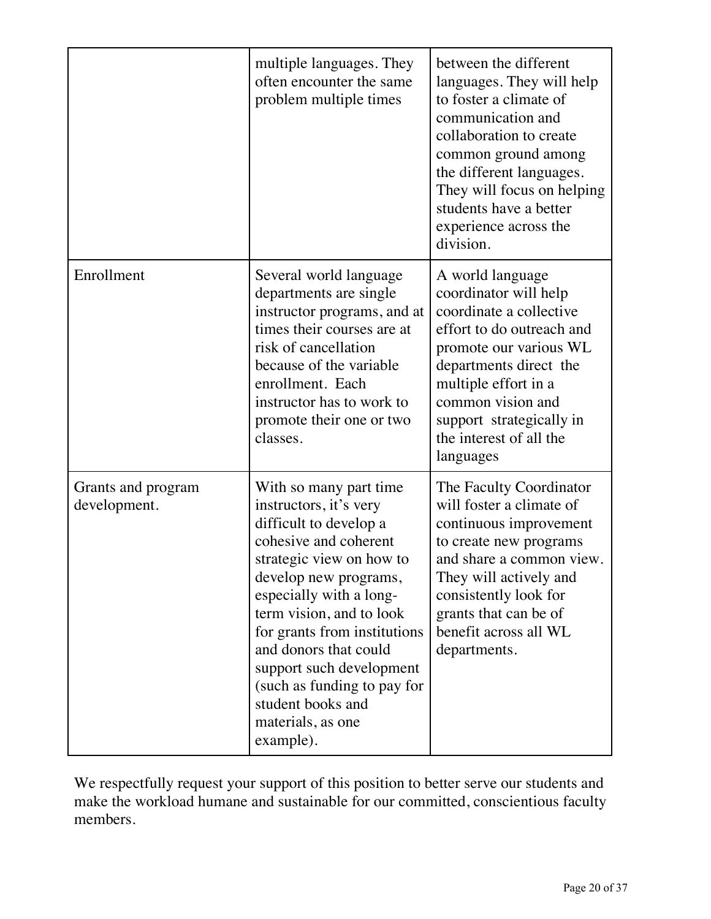|                                    | multiple languages. They<br>often encounter the same<br>problem multiple times                                                                                                                                                                                                                                                                                                             | between the different<br>languages. They will help<br>to foster a climate of<br>communication and<br>collaboration to create<br>common ground among<br>the different languages.<br>They will focus on helping<br>students have a better<br>experience across the<br>division. |
|------------------------------------|--------------------------------------------------------------------------------------------------------------------------------------------------------------------------------------------------------------------------------------------------------------------------------------------------------------------------------------------------------------------------------------------|-------------------------------------------------------------------------------------------------------------------------------------------------------------------------------------------------------------------------------------------------------------------------------|
| Enrollment                         | Several world language<br>departments are single<br>instructor programs, and at<br>times their courses are at<br>risk of cancellation<br>because of the variable<br>enrollment. Each<br>instructor has to work to<br>promote their one or two<br>classes.                                                                                                                                  | A world language<br>coordinator will help<br>coordinate a collective<br>effort to do outreach and<br>promote our various WL<br>departments direct the<br>multiple effort in a<br>common vision and<br>support strategically in<br>the interest of all the<br>languages        |
| Grants and program<br>development. | With so many part time<br>instructors, it's very<br>difficult to develop a<br>cohesive and coherent<br>strategic view on how to<br>develop new programs,<br>especially with a long-<br>term vision, and to look<br>for grants from institutions<br>and donors that could<br>support such development<br>(such as funding to pay for<br>student books and<br>materials, as one<br>example). | The Faculty Coordinator<br>will foster a climate of<br>continuous improvement<br>to create new programs<br>and share a common view.<br>They will actively and<br>consistently look for<br>grants that can be of<br>benefit across all WL<br>departments.                      |

We respectfully request your support of this position to better serve our students and make the workload humane and sustainable for our committed, conscientious faculty members.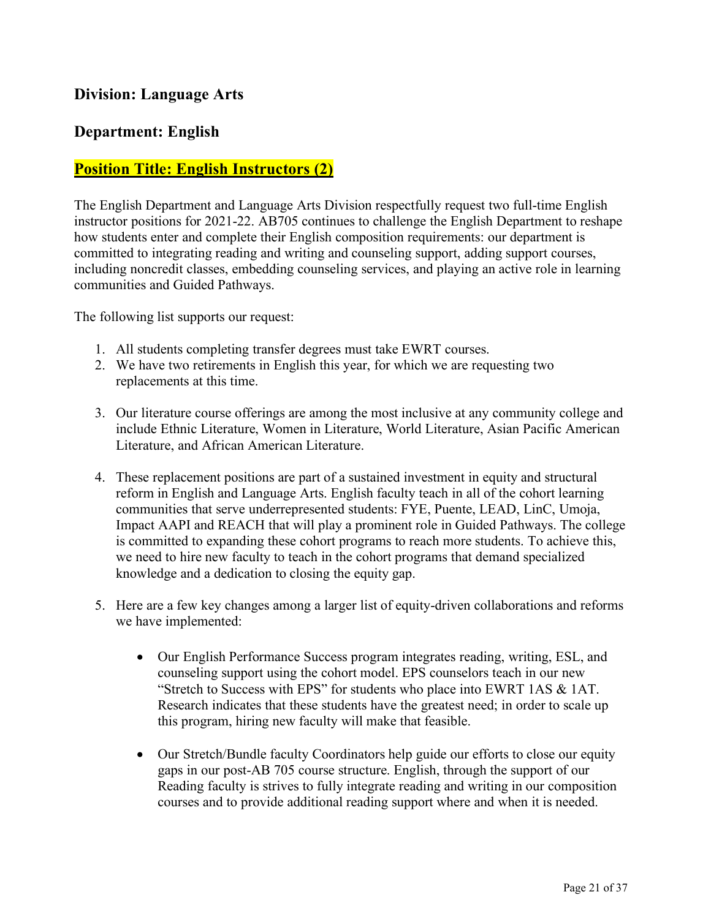## **Division: Language Arts**

#### **Department: English**

#### **Position Title: English Instructors (2)**

The English Department and Language Arts Division respectfully request two full-time English instructor positions for 2021-22. AB705 continues to challenge the English Department to reshape how students enter and complete their English composition requirements: our department is committed to integrating reading and writing and counseling support, adding support courses, including noncredit classes, embedding counseling services, and playing an active role in learning communities and Guided Pathways.

The following list supports our request:

- 1. All students completing transfer degrees must take EWRT courses.
- 2. We have two retirements in English this year, for which we are requesting two replacements at this time.
- 3. Our literature course offerings are among the most inclusive at any community college and include Ethnic Literature, Women in Literature, World Literature, Asian Pacific American Literature, and African American Literature.
- 4. These replacement positions are part of a sustained investment in equity and structural reform in English and Language Arts. English faculty teach in all of the cohort learning communities that serve underrepresented students: FYE, Puente, LEAD, LinC, Umoja, Impact AAPI and REACH that will play a prominent role in Guided Pathways. The college is committed to expanding these cohort programs to reach more students. To achieve this, we need to hire new faculty to teach in the cohort programs that demand specialized knowledge and a dedication to closing the equity gap.
- 5. Here are a few key changes among a larger list of equity-driven collaborations and reforms we have implemented:
	- Our English Performance Success program integrates reading, writing, ESL, and counseling support using the cohort model. EPS counselors teach in our new "Stretch to Success with EPS" for students who place into EWRT 1AS & 1AT. Research indicates that these students have the greatest need; in order to scale up this program, hiring new faculty will make that feasible.
	- Our Stretch/Bundle faculty Coordinators help guide our efforts to close our equity gaps in our post-AB 705 course structure. English, through the support of our Reading faculty is strives to fully integrate reading and writing in our composition courses and to provide additional reading support where and when it is needed.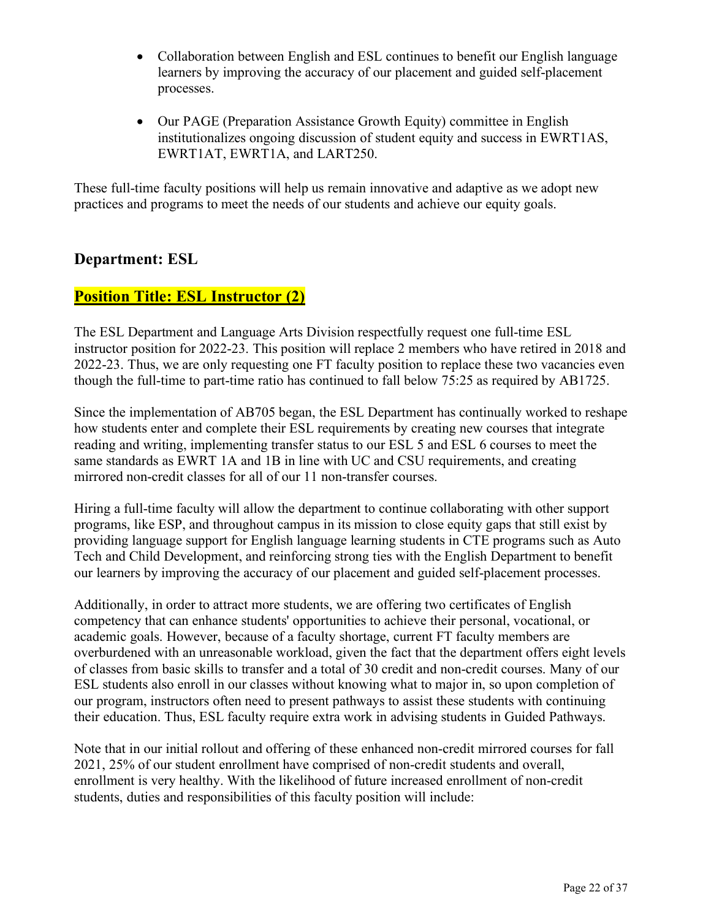- Collaboration between English and ESL continues to benefit our English language learners by improving the accuracy of our placement and guided self-placement processes.
- Our PAGE (Preparation Assistance Growth Equity) committee in English institutionalizes ongoing discussion of student equity and success in EWRT1AS, EWRT1AT, EWRT1A, and LART250.

These full-time faculty positions will help us remain innovative and adaptive as we adopt new practices and programs to meet the needs of our students and achieve our equity goals.

#### **Department: ESL**

# **Position Title: ESL Instructor (2)**

The ESL Department and Language Arts Division respectfully request one full-time ESL instructor position for 2022-23. This position will replace 2 members who have retired in 2018 and 2022-23. Thus, we are only requesting one FT faculty position to replace these two vacancies even though the full-time to part-time ratio has continued to fall below 75:25 as required by AB1725.

Since the implementation of AB705 began, the ESL Department has continually worked to reshape how students enter and complete their ESL requirements by creating new courses that integrate reading and writing, implementing transfer status to our ESL 5 and ESL 6 courses to meet the same standards as EWRT 1A and 1B in line with UC and CSU requirements, and creating mirrored non-credit classes for all of our 11 non-transfer courses.

Hiring a full-time faculty will allow the department to continue collaborating with other support programs, like ESP, and throughout campus in its mission to close equity gaps that still exist by providing language support for English language learning students in CTE programs such as Auto Tech and Child Development, and reinforcing strong ties with the English Department to benefit our learners by improving the accuracy of our placement and guided self-placement processes.

Additionally, in order to attract more students, we are offering two certificates of English competency that can enhance students' opportunities to achieve their personal, vocational, or academic goals. However, because of a faculty shortage, current FT faculty members are overburdened with an unreasonable workload, given the fact that the department offers eight levels of classes from basic skills to transfer and a total of 30 credit and non-credit courses. Many of our ESL students also enroll in our classes without knowing what to major in, so upon completion of our program, instructors often need to present pathways to assist these students with continuing their education. Thus, ESL faculty require extra work in advising students in Guided Pathways.

Note that in our initial rollout and offering of these enhanced non-credit mirrored courses for fall 2021, 25% of our student enrollment have comprised of non-credit students and overall, enrollment is very healthy. With the likelihood of future increased enrollment of non-credit students, duties and responsibilities of this faculty position will include: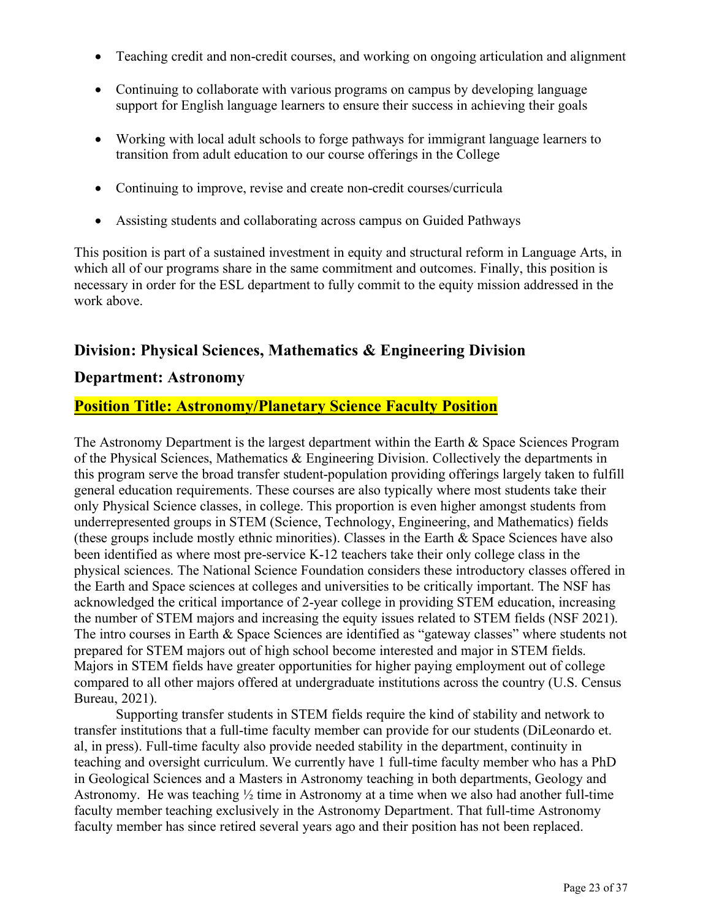- Teaching credit and non-credit courses, and working on ongoing articulation and alignment
- Continuing to collaborate with various programs on campus by developing language support for English language learners to ensure their success in achieving their goals
- Working with local adult schools to forge pathways for immigrant language learners to transition from adult education to our course offerings in the College
- Continuing to improve, revise and create non-credit courses/curricula
- Assisting students and collaborating across campus on Guided Pathways

This position is part of a sustained investment in equity and structural reform in Language Arts, in which all of our programs share in the same commitment and outcomes. Finally, this position is necessary in order for the ESL department to fully commit to the equity mission addressed in the work above.

#### **Division: Physical Sciences, Mathematics & Engineering Division**

#### **Department: Astronomy**

#### **Position Title: Astronomy/Planetary Science Faculty Position**

The Astronomy Department is the largest department within the Earth & Space Sciences Program of the Physical Sciences, Mathematics  $\&$  Engineering Division. Collectively the departments in this program serve the broad transfer student-population providing offerings largely taken to fulfill general education requirements. These courses are also typically where most students take their only Physical Science classes, in college. This proportion is even higher amongst students from underrepresented groups in STEM (Science, Technology, Engineering, and Mathematics) fields (these groups include mostly ethnic minorities). Classes in the Earth & Space Sciences have also been identified as where most pre-service K-12 teachers take their only college class in the physical sciences. The National Science Foundation considers these introductory classes offered in the Earth and Space sciences at colleges and universities to be critically important. The NSF has acknowledged the critical importance of 2-year college in providing STEM education, increasing the number of STEM majors and increasing the equity issues related to STEM fields (NSF 2021). The intro courses in Earth & Space Sciences are identified as "gateway classes" where students not prepared for STEM majors out of high school become interested and major in STEM fields. Majors in STEM fields have greater opportunities for higher paying employment out of college compared to all other majors offered at undergraduate institutions across the country (U.S. Census Bureau, 2021).

Supporting transfer students in STEM fields require the kind of stability and network to transfer institutions that a full-time faculty member can provide for our students (DiLeonardo et. al, in press). Full-time faculty also provide needed stability in the department, continuity in teaching and oversight curriculum. We currently have 1 full-time faculty member who has a PhD in Geological Sciences and a Masters in Astronomy teaching in both departments, Geology and Astronomy. He was teaching ½ time in Astronomy at a time when we also had another full-time faculty member teaching exclusively in the Astronomy Department. That full-time Astronomy faculty member has since retired several years ago and their position has not been replaced.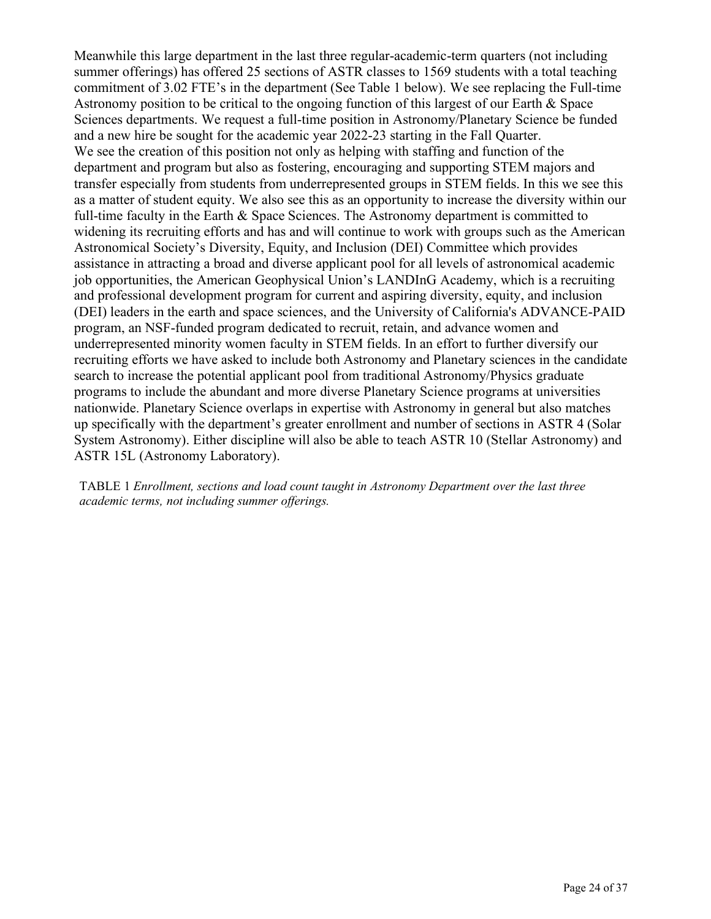Meanwhile this large department in the last three regular-academic-term quarters (not including summer offerings) has offered 25 sections of ASTR classes to 1569 students with a total teaching commitment of 3.02 FTE's in the department (See Table 1 below). We see replacing the Full-time Astronomy position to be critical to the ongoing function of this largest of our Earth & Space Sciences departments. We request a full-time position in Astronomy/Planetary Science be funded and a new hire be sought for the academic year 2022-23 starting in the Fall Quarter. We see the creation of this position not only as helping with staffing and function of the department and program but also as fostering, encouraging and supporting STEM majors and transfer especially from students from underrepresented groups in STEM fields. In this we see this as a matter of student equity. We also see this as an opportunity to increase the diversity within our full-time faculty in the Earth & Space Sciences. The Astronomy department is committed to widening its recruiting efforts and has and will continue to work with groups such as the American Astronomical Society's Diversity, Equity, and Inclusion (DEI) Committee which provides assistance in attracting a broad and diverse applicant pool for all levels of astronomical academic job opportunities, the American Geophysical Union's LANDInG Academy, which is a recruiting and professional development program for current and aspiring diversity, equity, and inclusion (DEI) leaders in the earth and space sciences, and the University of California's ADVANCE-PAID program, an NSF-funded program dedicated to recruit, retain, and advance women and underrepresented minority women faculty in STEM fields. In an effort to further diversify our recruiting efforts we have asked to include both Astronomy and Planetary sciences in the candidate search to increase the potential applicant pool from traditional Astronomy/Physics graduate programs to include the abundant and more diverse Planetary Science programs at universities nationwide. Planetary Science overlaps in expertise with Astronomy in general but also matches up specifically with the department's greater enrollment and number of sections in ASTR 4 (Solar System Astronomy). Either discipline will also be able to teach ASTR 10 (Stellar Astronomy) and ASTR 15L (Astronomy Laboratory).

TABLE 1 *Enrollment, sections and load count taught in Astronomy Department over the last three academic terms, not including summer offerings.*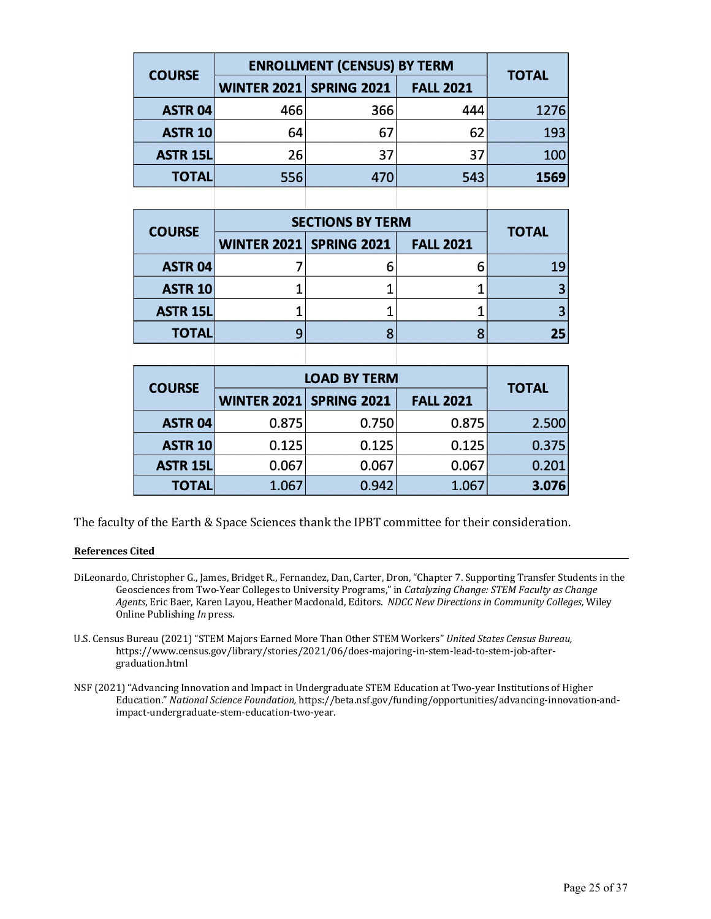| <b>COURSE</b>   | <b>ENROLLMENT (CENSUS) BY TERM</b> | <b>TOTAL</b> |                  |      |
|-----------------|------------------------------------|--------------|------------------|------|
|                 | <b>WINTER 2021 SPRING 2021</b>     |              | <b>FALL 2021</b> |      |
| <b>ASTR 04</b>  | 466                                | 366          | 444              | 1276 |
| <b>ASTR 10</b>  | 64                                 | 67           | 62               | 193  |
| <b>ASTR 15L</b> | 26                                 | 37           | 37               | 100  |
| <b>TOTAL</b>    | 556                                | 470          | 543              | 1569 |
|                 |                                    |              |                  |      |

| <b>COURSE</b>   | <b>SECTIONS BY TERM</b>        | <b>TOTAL</b>     |    |
|-----------------|--------------------------------|------------------|----|
|                 | <b>WINTER 2021 SPRING 2021</b> | <b>FALL 2021</b> |    |
| <b>ASTR 04</b>  |                                |                  | 19 |
| <b>ASTR 10</b>  |                                |                  |    |
| <b>ASTR 15L</b> |                                |                  |    |
| <b>TOTAL</b>    |                                |                  | 25 |
|                 |                                |                  |    |

| <b>COURSE</b>   | <b>LOAD BY TERM</b> | <b>TOTAL</b>       |                  |       |  |  |
|-----------------|---------------------|--------------------|------------------|-------|--|--|
|                 | <b>WINTER 2021</b>  | <b>SPRING 2021</b> | <b>FALL 2021</b> |       |  |  |
| <b>ASTR 04</b>  | 0.875               | 0.750              | 0.875            | 2.500 |  |  |
| <b>ASTR 10</b>  | 0.125               | 0.125              | 0.125            | 0.375 |  |  |
| <b>ASTR 15L</b> | 0.067               | 0.067              | 0.067            | 0.201 |  |  |
| <b>TOTAL</b>    | 1.067               | 0.942              | 1.067            | 3.076 |  |  |

The faculty of the Earth & Space Sciences thank the IPBT committee for their consideration.

#### **References Cited**

- DiLeonardo, Christopher G., James, Bridget R., Fernandez, Dan, Carter, Dron, "Chapter 7. Supporting Transfer Students in the Geosciences from Two-Year Colleges to University Programs," in *Catalyzing Change: STEM Faculty as Change* Agents, Eric Baer, Karen Layou, Heather Macdonald, Editors. NDCC New Directions in Community Colleges, Wiley Online Publishing In press.
- U.S. Census Bureau (2021) "STEM Majors Earned More Than Other STEM Workers" United States Census Bureau, https://www.census.gov/library/stories/2021/06/does-majoring-in-stem-lead-to-stem-job-aftergraduation.html
- NSF (2021) "Advancing Innovation and Impact in Undergraduate STEM Education at Two-year Institutions of Higher Education." National Science Foundation, https://beta.nsf.gov/funding/opportunities/advancing-innovation-andimpact-undergraduate-stem-education-two-year.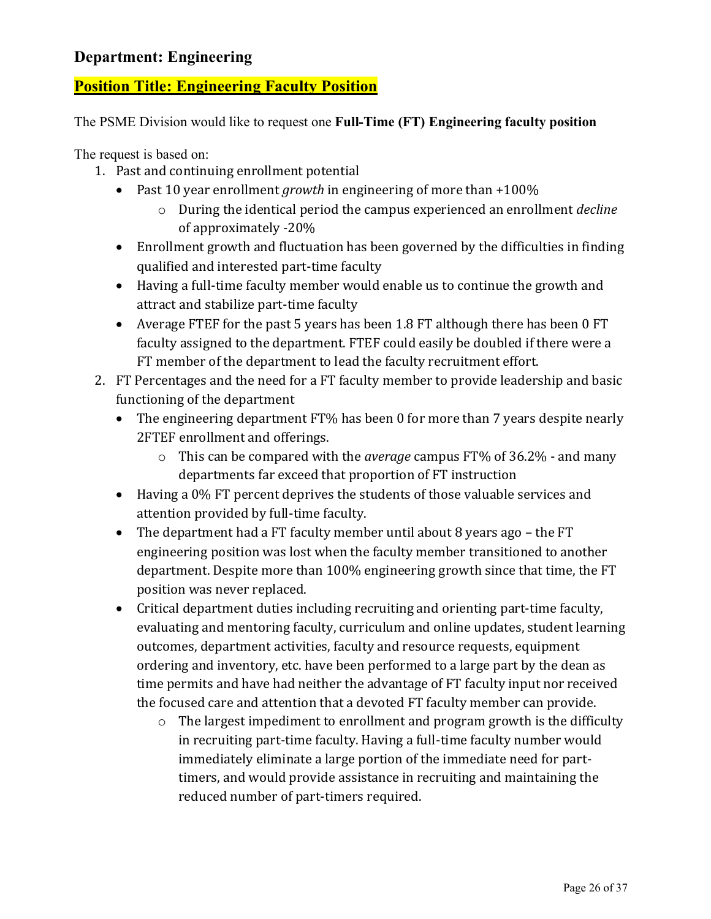# **Department: Engineering**

# **Position Title: Engineering Faculty Position**

The PSME Division would like to request one **Full-Time (FT) Engineering faculty position**

The request is based on:

- 1. Past and continuing enrollment potential
	- Past 10 year enrollment *growth* in engineering of more than +100%
		- o During the identical period the campus experienced an enrollment *decline* of approximately -20%
	- Enrollment growth and fluctuation has been governed by the difficulties in finding qualified and interested part-time faculty
	- Having a full-time faculty member would enable us to continue the growth and attract and stabilize part-time faculty
	- Average FTEF for the past 5 years has been 1.8 FT although there has been 0 FT faculty assigned to the department. FTEF could easily be doubled if there were a FT member of the department to lead the faculty recruitment effort.
- 2. FT Percentages and the need for a FT faculty member to provide leadership and basic functioning of the department
	- The engineering department FT% has been 0 for more than 7 years despite nearly 2FTEF enrollment and offerings.
		- o This can be compared with the *average* campus FT% of 36.2% and many departments far exceed that proportion of FT instruction
	- Having a 0% FT percent deprives the students of those valuable services and attention provided by full-time faculty.
	- The department had a FT faculty member until about 8 years ago the FT engineering position was lost when the faculty member transitioned to another department. Despite more than 100% engineering growth since that time, the FT position was never replaced.
	- Critical department duties including recruiting and orienting part-time faculty, evaluating and mentoring faculty, curriculum and online updates, student learning outcomes, department activities, faculty and resource requests, equipment ordering and inventory, etc. have been performed to a large part by the dean as time permits and have had neither the advantage of FT faculty input nor received the focused care and attention that a devoted FT faculty member can provide.
		- $\circ$  The largest impediment to enrollment and program growth is the difficulty in recruiting part-time faculty. Having a full-time faculty number would immediately eliminate a large portion of the immediate need for parttimers, and would provide assistance in recruiting and maintaining the reduced number of part-timers required.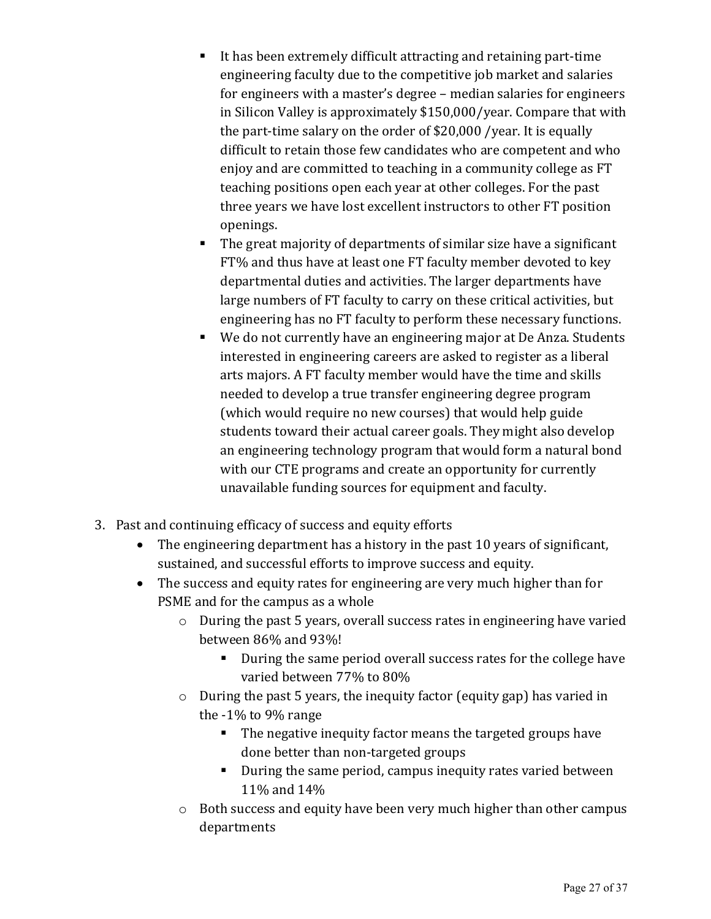- It has been extremely difficult attracting and retaining part-time engineering faculty due to the competitive job market and salaries for engineers with a master's degree – median salaries for engineers in Silicon Valley is approximately \$150,000/year. Compare that with the part-time salary on the order of  $$20,000$  /year. It is equally difficult to retain those few candidates who are competent and who enjoy and are committed to teaching in a community college as FT teaching positions open each year at other colleges. For the past three years we have lost excellent instructors to other FT position openings.
- The great majority of departments of similar size have a significant FT% and thus have at least one FT faculty member devoted to key departmental duties and activities. The larger departments have large numbers of FT faculty to carry on these critical activities, but engineering has no FT faculty to perform these necessary functions.
- We do not currently have an engineering major at De Anza. Students interested in engineering careers are asked to register as a liberal arts majors. A FT faculty member would have the time and skills needed to develop a true transfer engineering degree program (which would require no new courses) that would help guide students toward their actual career goals. They might also develop an engineering technology program that would form a natural bond with our CTE programs and create an opportunity for currently unavailable funding sources for equipment and faculty.
- 3. Past and continuing efficacy of success and equity efforts
	- The engineering department has a history in the past 10 years of significant, sustained, and successful efforts to improve success and equity.
	- The success and equity rates for engineering are very much higher than for PSME and for the campus as a whole
		- $\circ$  During the past 5 years, overall success rates in engineering have varied between 86% and 93%!
			- During the same period overall success rates for the college have varied between 77% to 80%
		- $\circ$  During the past 5 years, the inequity factor (equity gap) has varied in the -1% to 9% range
			- The negative inequity factor means the targeted groups have done better than non-targeted groups
			- During the same period, campus inequity rates varied between 11% and 14%
		- $\circ$  Both success and equity have been very much higher than other campus departments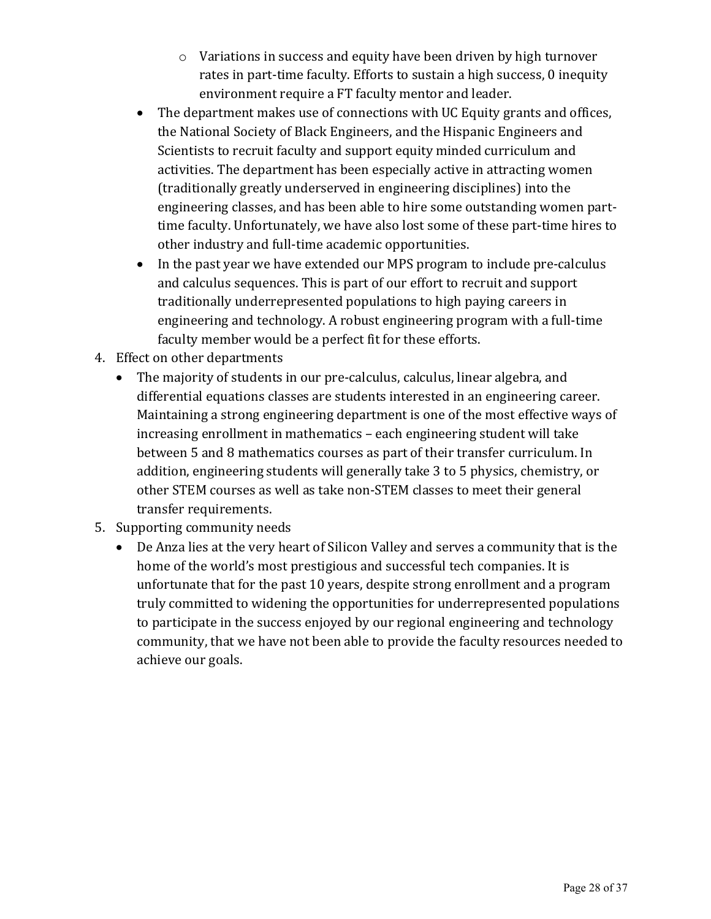- $\circ$  Variations in success and equity have been driven by high turnover rates in part-time faculty. Efforts to sustain a high success, 0 inequity environment require a FT faculty mentor and leader.
- The department makes use of connections with UC Equity grants and offices, the National Society of Black Engineers, and the Hispanic Engineers and Scientists to recruit faculty and support equity minded curriculum and activities. The department has been especially active in attracting women (traditionally greatly underserved in engineering disciplines) into the engineering classes, and has been able to hire some outstanding women parttime faculty. Unfortunately, we have also lost some of these part-time hires to other industry and full-time academic opportunities.
- In the past vear we have extended our MPS program to include pre-calculus and calculus sequences. This is part of our effort to recruit and support traditionally underrepresented populations to high paying careers in engineering and technology. A robust engineering program with a full-time faculty member would be a perfect fit for these efforts.
- 4. Effect on other departments
	- The majority of students in our pre-calculus, calculus, linear algebra, and differential equations classes are students interested in an engineering career. Maintaining a strong engineering department is one of the most effective ways of increasing enrollment in mathematics - each engineering student will take between 5 and 8 mathematics courses as part of their transfer curriculum. In addition, engineering students will generally take 3 to 5 physics, chemistry, or other STEM courses as well as take non-STEM classes to meet their general transfer requirements.
- 5. Supporting community needs
	- De Anza lies at the very heart of Silicon Valley and serves a community that is the home of the world's most prestigious and successful tech companies. It is unfortunate that for the past 10 years, despite strong enrollment and a program truly committed to widening the opportunities for underrepresented populations to participate in the success enjoyed by our regional engineering and technology community, that we have not been able to provide the faculty resources needed to achieve our goals.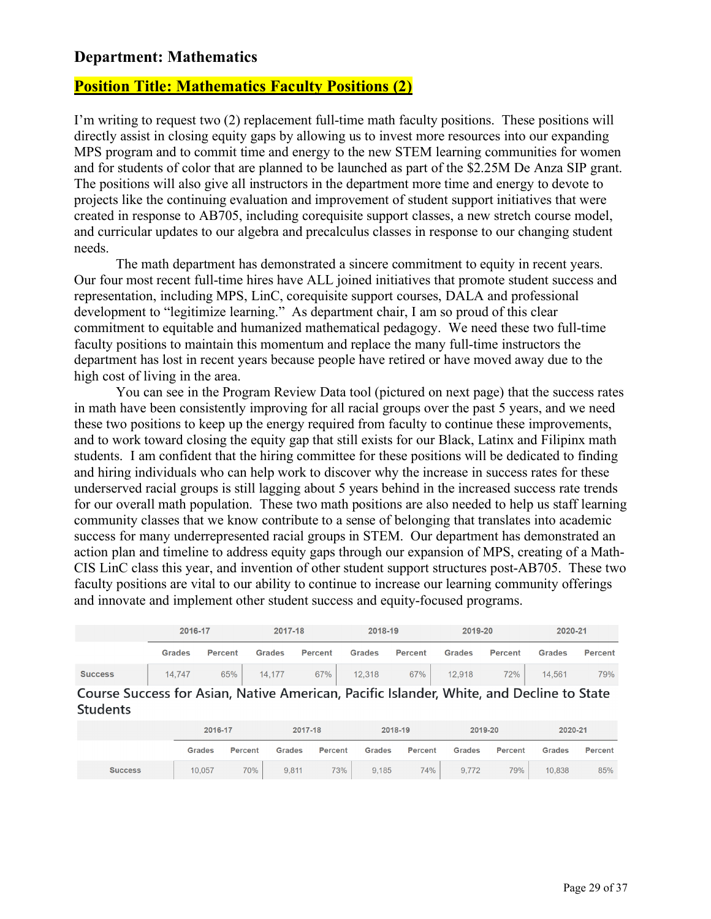#### **Department: Mathematics**

#### **Position Title: Mathematics Faculty Positions (2)**

I'm writing to request two (2) replacement full-time math faculty positions. These positions will directly assist in closing equity gaps by allowing us to invest more resources into our expanding MPS program and to commit time and energy to the new STEM learning communities for women and for students of color that are planned to be launched as part of the \$2.25M De Anza SIP grant. The positions will also give all instructors in the department more time and energy to devote to projects like the continuing evaluation and improvement of student support initiatives that were created in response to AB705, including corequisite support classes, a new stretch course model, and curricular updates to our algebra and precalculus classes in response to our changing student needs.

The math department has demonstrated a sincere commitment to equity in recent years. Our four most recent full-time hires have ALL joined initiatives that promote student success and representation, including MPS, LinC, corequisite support courses, DALA and professional development to "legitimize learning." As department chair, I am so proud of this clear commitment to equitable and humanized mathematical pedagogy. We need these two full-time faculty positions to maintain this momentum and replace the many full-time instructors the department has lost in recent years because people have retired or have moved away due to the high cost of living in the area.

You can see in the Program Review Data tool (pictured on next page) that the success rates in math have been consistently improving for all racial groups over the past 5 years, and we need these two positions to keep up the energy required from faculty to continue these improvements, and to work toward closing the equity gap that still exists for our Black, Latinx and Filipinx math students. I am confident that the hiring committee for these positions will be dedicated to finding and hiring individuals who can help work to discover why the increase in success rates for these underserved racial groups is still lagging about 5 years behind in the increased success rate trends for our overall math population. These two math positions are also needed to help us staff learning community classes that we know contribute to a sense of belonging that translates into academic success for many underrepresented racial groups in STEM. Our department has demonstrated an action plan and timeline to address equity gaps through our expansion of MPS, creating of a Math-CIS LinC class this year, and invention of other student support structures post-AB705. These two faculty positions are vital to our ability to continue to increase our learning community offerings and innovate and implement other student success and equity-focused programs.

|                                                                                          | 2016-17       |                | 2017-18       |         | 2018-19       |                | 2019-20       |                | 2020-21       |                |
|------------------------------------------------------------------------------------------|---------------|----------------|---------------|---------|---------------|----------------|---------------|----------------|---------------|----------------|
|                                                                                          | <b>Grades</b> | <b>Percent</b> | <b>Grades</b> | Percent | <b>Grades</b> | <b>Percent</b> | <b>Grades</b> | <b>Percent</b> | <b>Grades</b> | <b>Percent</b> |
| <b>Success</b>                                                                           | 14.747        | 65%            | 14.177        | 67%     | 12,318        | 67%            | 12,918        | 72%            | 14.561        | 79%            |
| Course Success for Asian, Native American, Pacific Islander, White, and Decline to State |               |                |               |         |               |                |               |                |               |                |

**Students** 

|                | 2016-17       |                | 2017-18       |                | 2018-19       |                | 2019-20       |         | 2020-21       |                |
|----------------|---------------|----------------|---------------|----------------|---------------|----------------|---------------|---------|---------------|----------------|
|                | <b>Grades</b> | <b>Percent</b> | <b>Grades</b> | <b>Percent</b> | <b>Grades</b> | <b>Percent</b> | <b>Grades</b> | Percent | <b>Grades</b> | <b>Percent</b> |
| <b>Success</b> | 10,057        | 70%            | 9,811         | 73%            | 9.185         | 74%            | 9,772         | 79%     | 10,838        | 85%            |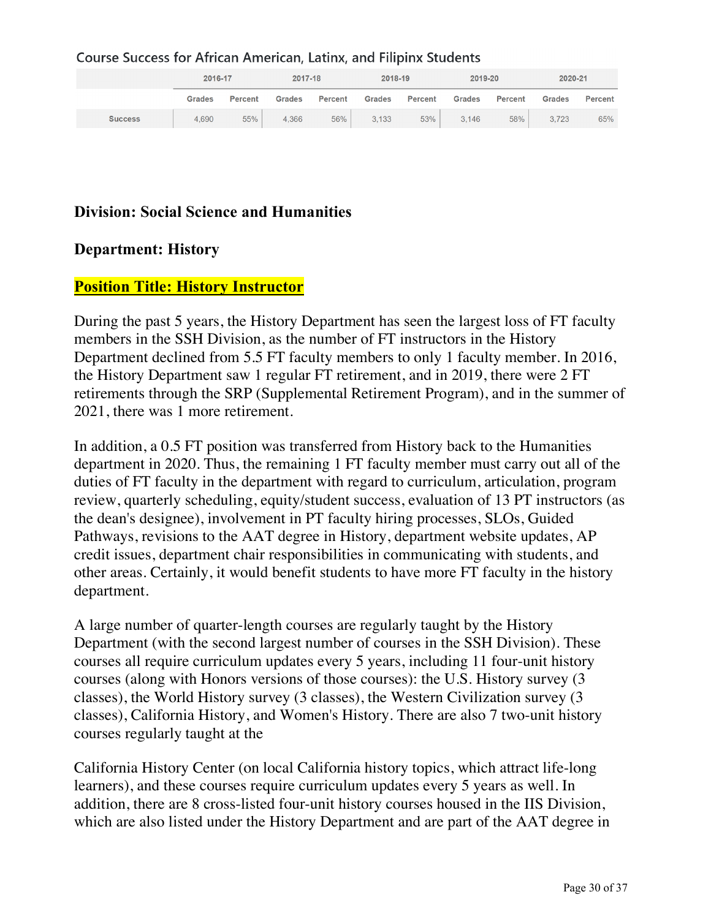#### **Course Success for African American, Latinx, and Filipinx Students**

|                | 2016-17       |                | 2017-18       |         | 2018-19       |         | 2019-20       |                | 2020-21       |         |
|----------------|---------------|----------------|---------------|---------|---------------|---------|---------------|----------------|---------------|---------|
|                | <b>Grades</b> | <b>Percent</b> | <b>Grades</b> | Percent | <b>Grades</b> | Percent | <b>Grades</b> | <b>Percent</b> | <b>Grades</b> | Percent |
| <b>Success</b> | 4.690         | 55%            | 4,366         | 56%     | 3,133         | 53%     | 3,146         | 58%            | 3,723         | 65%     |

# **Division: Social Science and Humanities**

#### **Department: History**

#### **Position Title: History Instructor**

During the past 5 years, the History Department has seen the largest loss of FT faculty members in the SSH Division, as the number of FT instructors in the History Department declined from 5.5 FT faculty members to only 1 faculty member. In 2016, the History Department saw 1 regular FT retirement, and in 2019, there were 2 FT retirements through the SRP (Supplemental Retirement Program), and in the summer of 2021, there was 1 more retirement.

In addition, a 0.5 FT position was transferred from History back to the Humanities department in 2020. Thus, the remaining 1 FT faculty member must carry out all of the duties of FT faculty in the department with regard to curriculum, articulation, program review, quarterly scheduling, equity/student success, evaluation of 13 PT instructors (as the dean's designee), involvement in PT faculty hiring processes, SLOs, Guided Pathways, revisions to the AAT degree in History, department website updates, AP credit issues, department chair responsibilities in communicating with students, and other areas. Certainly, it would benefit students to have more FT faculty in the history department.

A large number of quarter-length courses are regularly taught by the History Department (with the second largest number of courses in the SSH Division). These courses all require curriculum updates every 5 years, including 11 four-unit history courses (along with Honors versions of those courses): the U.S. History survey (3 classes), the World History survey (3 classes), the Western Civilization survey (3 classes), California History, and Women's History. There are also 7 two-unit history courses regularly taught at the

California History Center (on local California history topics, which attract life-long learners), and these courses require curriculum updates every 5 years as well. In addition, there are 8 cross-listed four-unit history courses housed in the IIS Division, which are also listed under the History Department and are part of the AAT degree in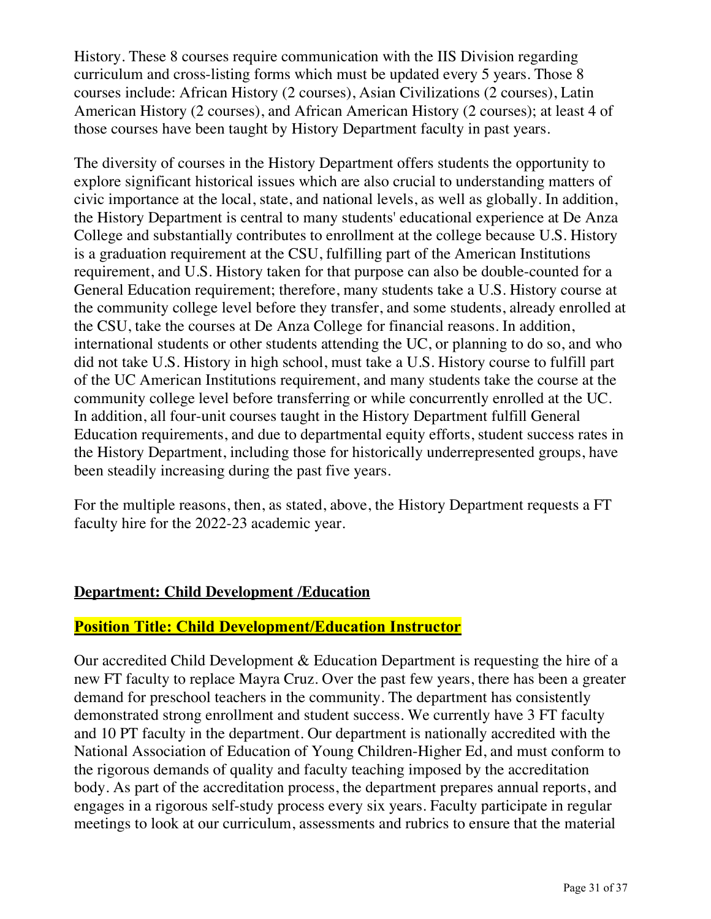History. These 8 courses require communication with the IIS Division regarding curriculum and cross-listing forms which must be updated every 5 years. Those 8 courses include: African History (2 courses), Asian Civilizations (2 courses), Latin American History (2 courses), and African American History (2 courses); at least 4 of those courses have been taught by History Department faculty in past years.

The diversity of courses in the History Department offers students the opportunity to explore significant historical issues which are also crucial to understanding matters of civic importance at the local, state, and national levels, as well as globally. In addition, the History Department is central to many students' educational experience at De Anza College and substantially contributes to enrollment at the college because U.S. History is a graduation requirement at the CSU, fulfilling part of the American Institutions requirement, and U.S. History taken for that purpose can also be double-counted for a General Education requirement; therefore, many students take a U.S. History course at the community college level before they transfer, and some students, already enrolled at the CSU, take the courses at De Anza College for financial reasons. In addition, international students or other students attending the UC, or planning to do so, and who did not take U.S. History in high school, must take a U.S. History course to fulfill part of the UC American Institutions requirement, and many students take the course at the community college level before transferring or while concurrently enrolled at the UC. In addition, all four-unit courses taught in the History Department fulfill General Education requirements, and due to departmental equity efforts, student success rates in the History Department, including those for historically underrepresented groups, have been steadily increasing during the past five years.

For the multiple reasons, then, as stated, above, the History Department requests a FT faculty hire for the 2022-23 academic year.

## **Department: Child Development /Education**

## **Position Title: Child Development/Education Instructor**

Our accredited Child Development & Education Department is requesting the hire of a new FT faculty to replace Mayra Cruz. Over the past few years, there has been a greater demand for preschool teachers in the community. The department has consistently demonstrated strong enrollment and student success. We currently have 3 FT faculty and 10 PT faculty in the department. Our department is nationally accredited with the National Association of Education of Young Children-Higher Ed, and must conform to the rigorous demands of quality and faculty teaching imposed by the accreditation body. As part of the accreditation process, the department prepares annual reports, and engages in a rigorous self-study process every six years. Faculty participate in regular meetings to look at our curriculum, assessments and rubrics to ensure that the material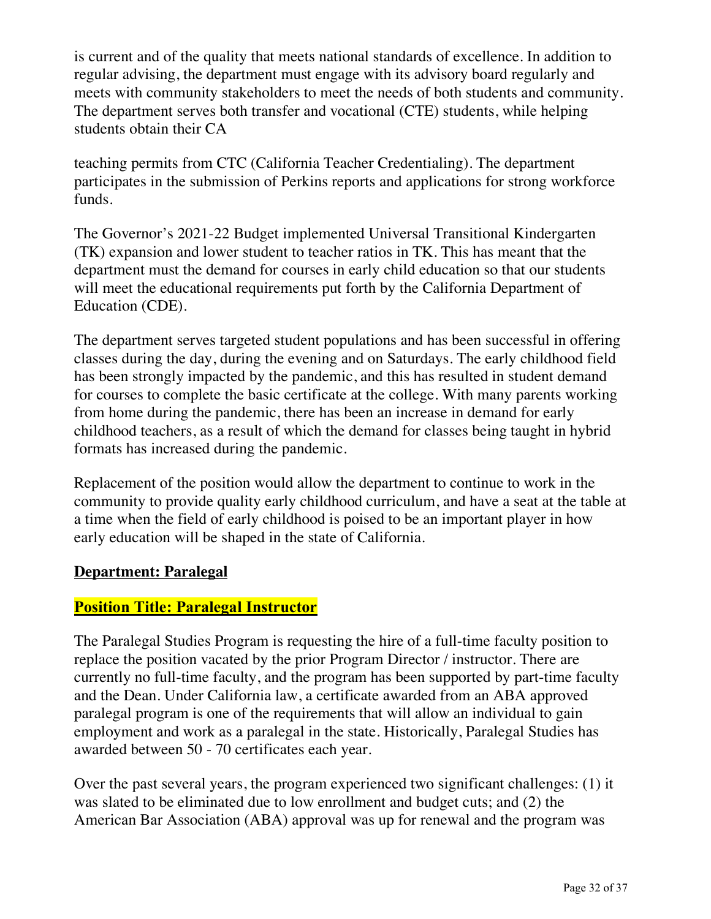is current and of the quality that meets national standards of excellence. In addition to regular advising, the department must engage with its advisory board regularly and meets with community stakeholders to meet the needs of both students and community. The department serves both transfer and vocational (CTE) students, while helping students obtain their CA

teaching permits from CTC (California Teacher Credentialing). The department participates in the submission of Perkins reports and applications for strong workforce funds.

The Governor's 2021-22 Budget implemented Universal Transitional Kindergarten (TK) expansion and lower student to teacher ratios in TK. This has meant that the department must the demand for courses in early child education so that our students will meet the educational requirements put forth by the California Department of Education (CDE).

The department serves targeted student populations and has been successful in offering classes during the day, during the evening and on Saturdays. The early childhood field has been strongly impacted by the pandemic, and this has resulted in student demand for courses to complete the basic certificate at the college. With many parents working from home during the pandemic, there has been an increase in demand for early childhood teachers, as a result of which the demand for classes being taught in hybrid formats has increased during the pandemic.

Replacement of the position would allow the department to continue to work in the community to provide quality early childhood curriculum, and have a seat at the table at a time when the field of early childhood is poised to be an important player in how early education will be shaped in the state of California.

## **Department: Paralegal**

## **Position Title: Paralegal Instructor**

The Paralegal Studies Program is requesting the hire of a full-time faculty position to replace the position vacated by the prior Program Director / instructor. There are currently no full-time faculty, and the program has been supported by part-time faculty and the Dean. Under California law, a certificate awarded from an ABA approved paralegal program is one of the requirements that will allow an individual to gain employment and work as a paralegal in the state. Historically, Paralegal Studies has awarded between 50 - 70 certificates each year.

Over the past several years, the program experienced two significant challenges: (1) it was slated to be eliminated due to low enrollment and budget cuts; and (2) the American Bar Association (ABA) approval was up for renewal and the program was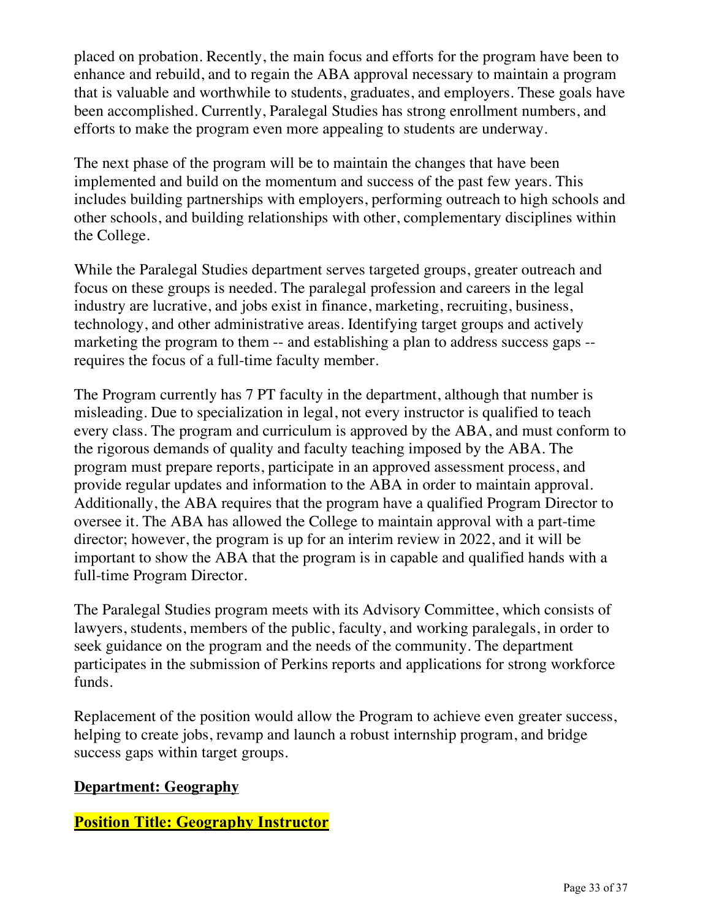placed on probation. Recently, the main focus and efforts for the program have been to enhance and rebuild, and to regain the ABA approval necessary to maintain a program that is valuable and worthwhile to students, graduates, and employers. These goals have been accomplished. Currently, Paralegal Studies has strong enrollment numbers, and efforts to make the program even more appealing to students are underway.

The next phase of the program will be to maintain the changes that have been implemented and build on the momentum and success of the past few years. This includes building partnerships with employers, performing outreach to high schools and other schools, and building relationships with other, complementary disciplines within the College.

While the Paralegal Studies department serves targeted groups, greater outreach and focus on these groups is needed. The paralegal profession and careers in the legal industry are lucrative, and jobs exist in finance, marketing, recruiting, business, technology, and other administrative areas. Identifying target groups and actively marketing the program to them -- and establishing a plan to address success gaps - requires the focus of a full-time faculty member.

The Program currently has 7 PT faculty in the department, although that number is misleading. Due to specialization in legal, not every instructor is qualified to teach every class. The program and curriculum is approved by the ABA, and must conform to the rigorous demands of quality and faculty teaching imposed by the ABA. The program must prepare reports, participate in an approved assessment process, and provide regular updates and information to the ABA in order to maintain approval. Additionally, the ABA requires that the program have a qualified Program Director to oversee it. The ABA has allowed the College to maintain approval with a part-time director; however, the program is up for an interim review in 2022, and it will be important to show the ABA that the program is in capable and qualified hands with a full-time Program Director.

The Paralegal Studies program meets with its Advisory Committee, which consists of lawyers, students, members of the public, faculty, and working paralegals, in order to seek guidance on the program and the needs of the community. The department participates in the submission of Perkins reports and applications for strong workforce funds.

Replacement of the position would allow the Program to achieve even greater success, helping to create jobs, revamp and launch a robust internship program, and bridge success gaps within target groups.

## **Department: Geography**

**Position Title: Geography Instructor**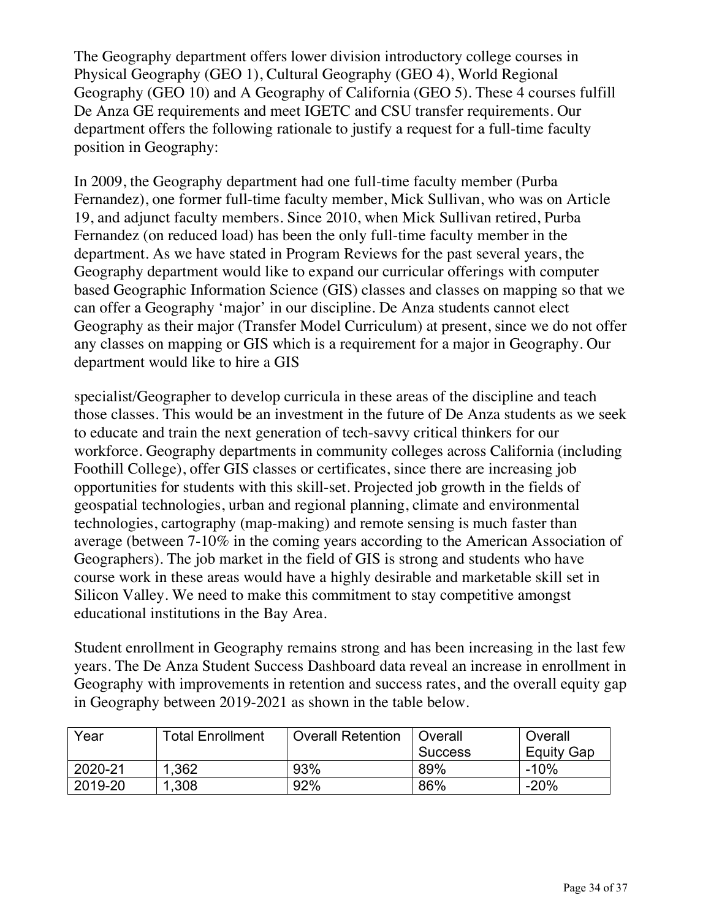The Geography department offers lower division introductory college courses in Physical Geography (GEO 1), Cultural Geography (GEO 4), World Regional Geography (GEO 10) and A Geography of California (GEO 5). These 4 courses fulfill De Anza GE requirements and meet IGETC and CSU transfer requirements. Our department offers the following rationale to justify a request for a full-time faculty position in Geography:

In 2009, the Geography department had one full-time faculty member (Purba Fernandez), one former full-time faculty member, Mick Sullivan, who was on Article 19, and adjunct faculty members. Since 2010, when Mick Sullivan retired, Purba Fernandez (on reduced load) has been the only full-time faculty member in the department. As we have stated in Program Reviews for the past several years, the Geography department would like to expand our curricular offerings with computer based Geographic Information Science (GIS) classes and classes on mapping so that we can offer a Geography 'major' in our discipline. De Anza students cannot elect Geography as their major (Transfer Model Curriculum) at present, since we do not offer any classes on mapping or GIS which is a requirement for a major in Geography. Our department would like to hire a GIS

specialist/Geographer to develop curricula in these areas of the discipline and teach those classes. This would be an investment in the future of De Anza students as we seek to educate and train the next generation of tech-savvy critical thinkers for our workforce. Geography departments in community colleges across California (including Foothill College), offer GIS classes or certificates, since there are increasing job opportunities for students with this skill-set. Projected job growth in the fields of geospatial technologies, urban and regional planning, climate and environmental technologies, cartography (map-making) and remote sensing is much faster than average (between 7-10% in the coming years according to the American Association of Geographers). The job market in the field of GIS is strong and students who have course work in these areas would have a highly desirable and marketable skill set in Silicon Valley. We need to make this commitment to stay competitive amongst educational institutions in the Bay Area.

Student enrollment in Geography remains strong and has been increasing in the last few years. The De Anza Student Success Dashboard data reveal an increase in enrollment in Geography with improvements in retention and success rates, and the overall equity gap in Geography between 2019-2021 as shown in the table below.

| Year    | <b>Total Enrollment</b> | <b>Overall Retention</b> | Overall        | Overall    |  |
|---------|-------------------------|--------------------------|----------------|------------|--|
|         |                         |                          | <b>Success</b> | Equity Gap |  |
| 2020-21 | 1,362                   | 93%                      | 89%            | $-10%$     |  |
| 2019-20 | 1,308                   | 92%                      | 86%            | $-20%$     |  |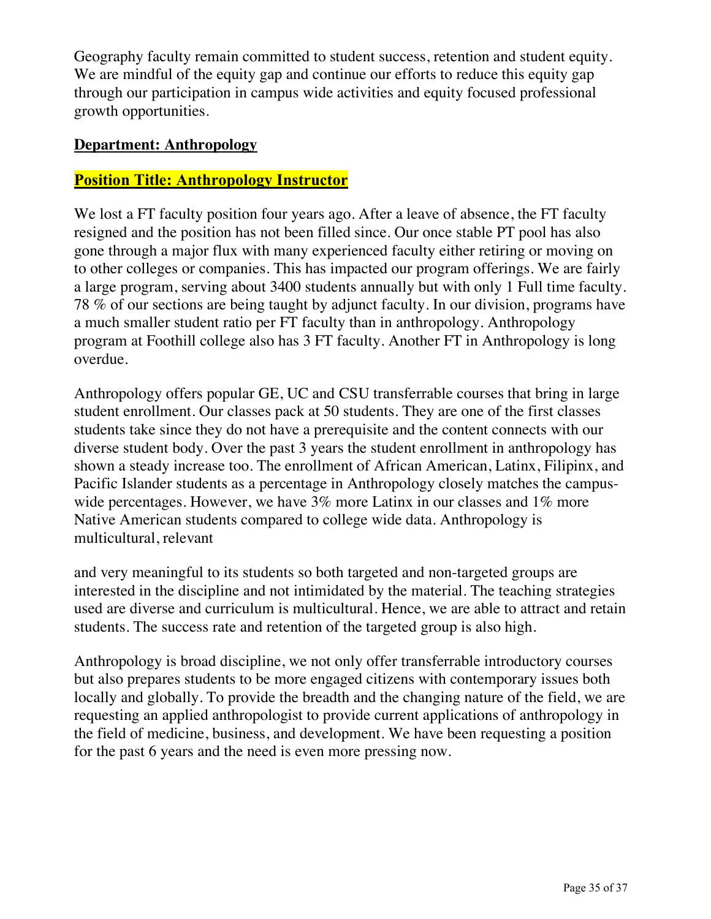Geography faculty remain committed to student success, retention and student equity. We are mindful of the equity gap and continue our efforts to reduce this equity gap through our participation in campus wide activities and equity focused professional growth opportunities.

#### **Department: Anthropology**

#### **Position Title: Anthropology Instructor**

We lost a FT faculty position four years ago. After a leave of absence, the FT faculty resigned and the position has not been filled since. Our once stable PT pool has also gone through a major flux with many experienced faculty either retiring or moving on to other colleges or companies. This has impacted our program offerings. We are fairly a large program, serving about 3400 students annually but with only 1 Full time faculty. 78 % of our sections are being taught by adjunct faculty. In our division, programs have a much smaller student ratio per FT faculty than in anthropology. Anthropology program at Foothill college also has 3 FT faculty. Another FT in Anthropology is long overdue.

Anthropology offers popular GE, UC and CSU transferrable courses that bring in large student enrollment. Our classes pack at 50 students. They are one of the first classes students take since they do not have a prerequisite and the content connects with our diverse student body. Over the past 3 years the student enrollment in anthropology has shown a steady increase too. The enrollment of African American, Latinx, Filipinx, and Pacific Islander students as a percentage in Anthropology closely matches the campuswide percentages. However, we have 3% more Latinx in our classes and 1% more Native American students compared to college wide data. Anthropology is multicultural, relevant

and very meaningful to its students so both targeted and non-targeted groups are interested in the discipline and not intimidated by the material. The teaching strategies used are diverse and curriculum is multicultural. Hence, we are able to attract and retain students. The success rate and retention of the targeted group is also high.

Anthropology is broad discipline, we not only offer transferrable introductory courses but also prepares students to be more engaged citizens with contemporary issues both locally and globally. To provide the breadth and the changing nature of the field, we are requesting an applied anthropologist to provide current applications of anthropology in the field of medicine, business, and development. We have been requesting a position for the past 6 years and the need is even more pressing now.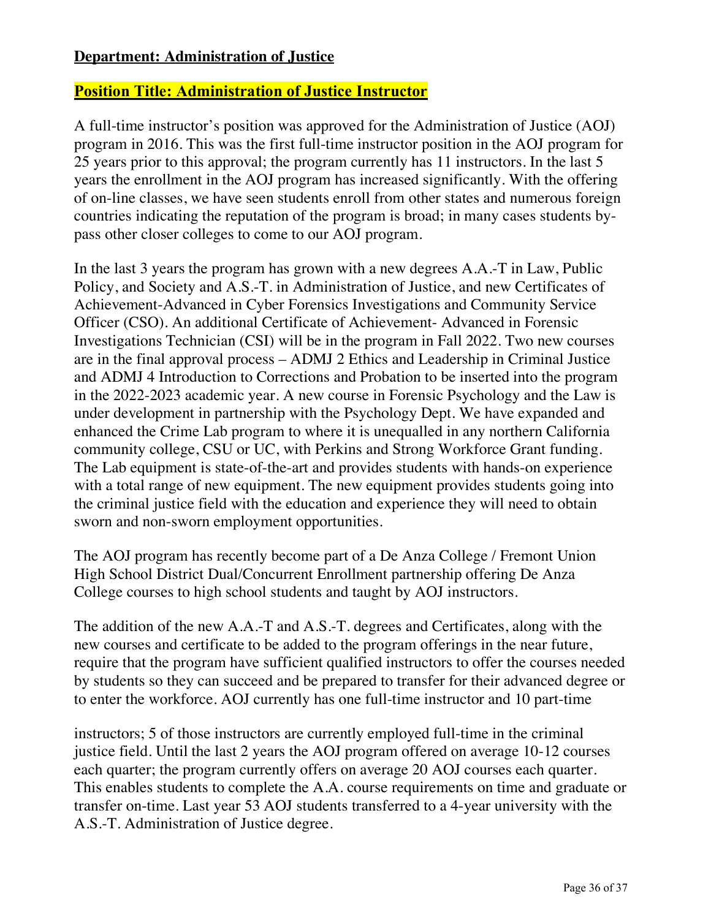#### **Department: Administration of Justice**

# **Position Title: Administration of Justice Instructor**

A full-time instructor's position was approved for the Administration of Justice (AOJ) program in 2016. This was the first full-time instructor position in the AOJ program for 25 years prior to this approval; the program currently has 11 instructors. In the last 5 years the enrollment in the AOJ program has increased significantly. With the offering of on-line classes, we have seen students enroll from other states and numerous foreign countries indicating the reputation of the program is broad; in many cases students bypass other closer colleges to come to our AOJ program.

In the last 3 years the program has grown with a new degrees A.A.-T in Law, Public Policy, and Society and A.S.-T. in Administration of Justice, and new Certificates of Achievement-Advanced in Cyber Forensics Investigations and Community Service Officer (CSO). An additional Certificate of Achievement- Advanced in Forensic Investigations Technician (CSI) will be in the program in Fall 2022. Two new courses are in the final approval process – ADMJ 2 Ethics and Leadership in Criminal Justice and ADMJ 4 Introduction to Corrections and Probation to be inserted into the program in the 2022-2023 academic year. A new course in Forensic Psychology and the Law is under development in partnership with the Psychology Dept. We have expanded and enhanced the Crime Lab program to where it is unequalled in any northern California community college, CSU or UC, with Perkins and Strong Workforce Grant funding. The Lab equipment is state-of-the-art and provides students with hands-on experience with a total range of new equipment. The new equipment provides students going into the criminal justice field with the education and experience they will need to obtain sworn and non-sworn employment opportunities.

The AOJ program has recently become part of a De Anza College / Fremont Union High School District Dual/Concurrent Enrollment partnership offering De Anza College courses to high school students and taught by AOJ instructors.

The addition of the new A.A.-T and A.S.-T. degrees and Certificates, along with the new courses and certificate to be added to the program offerings in the near future, require that the program have sufficient qualified instructors to offer the courses needed by students so they can succeed and be prepared to transfer for their advanced degree or to enter the workforce. AOJ currently has one full-time instructor and 10 part-time

instructors; 5 of those instructors are currently employed full-time in the criminal justice field. Until the last 2 years the AOJ program offered on average 10-12 courses each quarter; the program currently offers on average 20 AOJ courses each quarter. This enables students to complete the A.A. course requirements on time and graduate or transfer on-time. Last year 53 AOJ students transferred to a 4-year university with the A.S.-T. Administration of Justice degree.